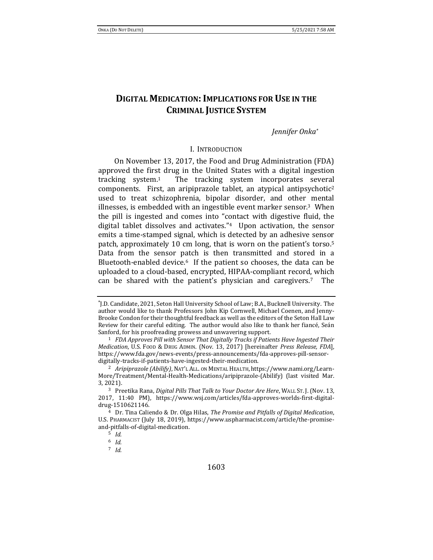# **DIGITAL MEDICATION:IMPLICATIONS FOR USE IN THE CRIMINAL JUSTICE SYSTEM**

*Jennifer Onka\**

### <span id="page-0-1"></span><span id="page-0-0"></span>I. INTRODUCTION

On November 13, 2017, the Food and Drug Administration (FDA) approved the first drug in the United States with a digital ingestion tracking system.1 The tracking system incorporates several components. First, an aripiprazole tablet, an atypical antipsychotic<sup>2</sup> used to treat schizophrenia, bipolar disorder, and other mental illnesses, is embedded with an ingestible event marker sensor.3 When the pill is ingested and comes into "contact with digestive fluid, the digital tablet dissolves and activates."4 Upon activation, the sensor emits a time-stamped signal, which is detected by an adhesive sensor patch, approximately 10 cm long, that is worn on the patient's torso.<sup>5</sup> Data from the sensor patch is then transmitted and stored in a Bluetooth-enabled device.<sup>6</sup> If the patient so chooses, the data can be uploaded to a cloud-based, encrypted, HIPAA-compliant record, which can be shared with the patient's physician and caregivers.7 The

<sup>\*</sup> J.D. Candidate, 2021, Seton Hall University School of Law; B.A., Bucknell University. The author would like to thank Professors John Kip Cornwell, Michael Coenen, and Jenny-Brooke Condon for their thoughtful feedback as well as the editors of the Seton Hall Law Review for their careful editing. The author would also like to thank her fiancé, Seán Sanford, for his proofreading prowess and unwavering support.

<sup>1</sup> *FDA Approves Pill with Sensor That Digitally Tracks if Patients Have Ingested Their Medication*, U.S. FOOD & DRUG ADMIN. (Nov. 13, 2017) [hereinafter *Press Release, FDA*], https://www.fda.gov/news-events/press-announcements/fda-approves-pill-sensordigitally-tracks-if-patients-have-ingested-their-medication.

<sup>2</sup> *Aripiprazole (Abilify)*, NAT'L ALL. ON MENTAL HEALTH, https://www.nami.org/Learn-More/Treatment/Mental-Health-Medications/aripiprazole-(Abilify) (last visited Mar. 3, 2021).

<sup>3</sup> Preetika Rana, *Digital Pills That Talk to Your Doctor Are Here*, WALL ST. J. (Nov. 13, 2017, 11:40 PM), https://www.wsj.com/articles/fda-approves-worlds-first-digitaldrug-1510621146.

<sup>4</sup> Dr. Tina Caliendo & Dr. Olga Hilas, *The Promise and Pitfalls of Digital Medication*, U.S. PHARMACIST (July 18, 2019), https://www.uspharmacist.com/article/the-promiseand-pitfalls-of-digital-medication.

<sup>5</sup> *Id.*

<sup>6</sup> *Id.*

<sup>7</sup> *Id.*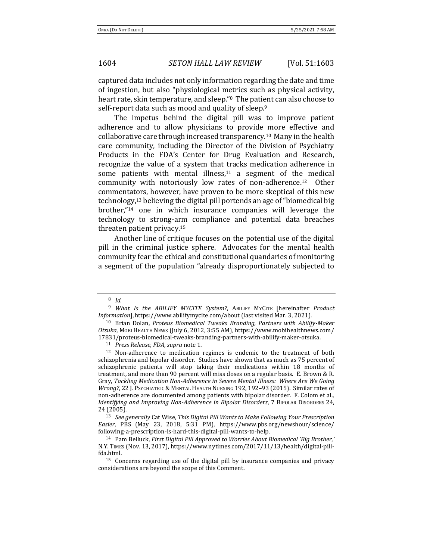captured data includes not only information regarding the date and time of ingestion, but also "physiological metrics such as physical activity, heart rate, skin temperature, and sleep."8 The patient can also choose to self-report data such as mood and quality of sleep.<sup>9</sup>

<span id="page-1-1"></span>The impetus behind the digital pill was to improve patient adherence and to allow physicians to provide more effective and collaborative care through increased transparency.10 Many in the health care community, including the Director of the Division of Psychiatry Products in the FDA's Center for Drug Evaluation and Research, recognize the value of a system that tracks medication adherence in some patients with mental illness, $11$  a segment of the medical community with notoriously low rates of non-adherence.12 Other commentators, however, have proven to be more skeptical of this new technology,<sup>13</sup> believing the digital pill portends an age of "biomedical big brother,"<sup>14</sup> one in which insurance companies will leverage the technology to strong-arm compliance and potential data breaches threaten patient privacy.<sup>15</sup>

<span id="page-1-3"></span><span id="page-1-2"></span><span id="page-1-0"></span>Another line of critique focuses on the potential use of the digital pill in the criminal justice sphere. Advocates for the mental health community fear the ethical and constitutional quandaries of monitoring a segment of the population "already disproportionately subjected to

<sup>8</sup> *Id.* 

<sup>9</sup> *What Is the ABILIFY MYCITE System?*, ABILIFY MYCITE [hereinafter *Product Information*], https://www.abilifymycite.com/about (last visited Mar. 3, 2021).

<sup>10</sup> Brian Dolan, *Proteus Biomedical Tweaks Branding, Partners with Abilify-Maker Otsuka*, MOBI HEALTH NEWS (July 6, 2012, 3:55 AM), https://www.mobihealthnews.com/ 17831/proteus-biomedical-tweaks-branding-partners-with-abilify-maker-otsuka.

<sup>11</sup> *Press Release, FDA*, *supra* note [1.](#page-0-0)

<sup>&</sup>lt;sup>12</sup> Non-adherence to medication regimes is endemic to the treatment of both schizophrenia and bipolar disorder. Studies have shown that as much as 75 percent of schizophrenic patients will stop taking their medications within 18 months of treatment, and more than 90 percent will miss doses on a regular basis. E. Brown & R. Gray, *Tackling Medication Non-Adherence in Severe Mental Illness: Where Are We Going Wrong?*, 22 J. PSYCHIATRIC & MENTAL HEALTH NURSING 192, 192–93 (2015). Similar rates of non-adherence are documented among patients with bipolar disorder. F. Colom et al., *Identifying and Improving Non-Adherence in Bipolar Disorders*, 7 BIPOLAR DISORDERS 24, 24 (2005).

<sup>13</sup> *See generally* Cat Wise, *This Digital Pill Wants to Make Following Your Prescription Easier*, PBS (May 23, 2018, 5:31 PM), https://www.pbs.org/newshour/science/ following-a-prescription-is-hard-this-digital-pill-wants-to-help.

<sup>14</sup> Pam Belluck, *First Digital Pill Approved to Worries About Biomedical 'Big Brother*,*'* N.Y. TIMES (Nov. 13, 2017), https://www.nytimes.com/2017/11/13/health/digital-pillfda.html.

<sup>15</sup> Concerns regarding use of the digital pill by insurance companies and privacy considerations are beyond the scope of this Comment.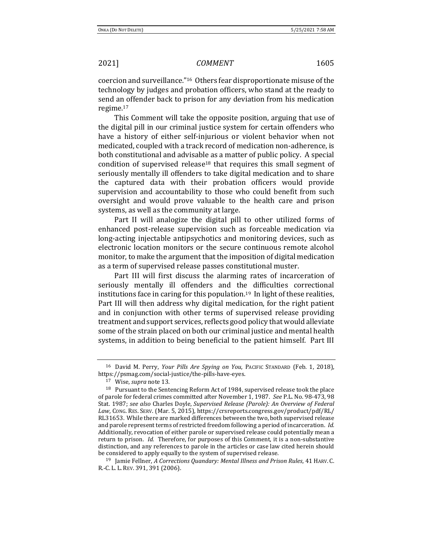coercion and surveillance."16 Others fear disproportionate misuse of the technology by judges and probation officers, who stand at the ready to send an offender back to prison for any deviation from his medication regime.<sup>17</sup>

This Comment will take the opposite position, arguing that use of the digital pill in our criminal justice system for certain offenders who have a history of either self-injurious or violent behavior when not medicated, coupled with a track record of medication non-adherence, is both constitutional and advisable as a matter of public policy. A special condition of supervised release<sup>18</sup> that requires this small segment of seriously mentally ill offenders to take digital medication and to share the captured data with their probation officers would provide supervision and accountability to those who could benefit from such oversight and would prove valuable to the health care and prison systems, as well as the community at large.

Part II will analogize the digital pill to other utilized forms of enhanced post-release supervision such as forceable medication via long-acting injectable antipsychotics and monitoring devices, such as electronic location monitors or the secure continuous remote alcohol monitor, to make the argument that the imposition of digital medication as a term of supervised release passes constitutional muster.

<span id="page-2-0"></span>Part III will first discuss the alarming rates of incarceration of seriously mentally ill offenders and the difficulties correctional institutions face in caring for this population.19 In light of these realities, Part III will then address why digital medication, for the right patient and in conjunction with other terms of supervised release providing treatment and support services, reflects good policy that would alleviate some of the strain placed on both our criminal justice and mental health systems, in addition to being beneficial to the patient himself. Part III

<sup>16</sup> David M. Perry, *Your Pills Are Spying on You*, PACIFIC STANDARD (Feb. 1, 2018), https://psmag.com/social-justice/the-pills-have-eyes.

<sup>17</sup> Wise, *supra* not[e 13.](#page-1-0)

<sup>18</sup> Pursuant to the Sentencing Reform Act of 1984, supervised release took the place of parole for federal crimes committed after November 1, 1987. *See* P.L. No. 98-473, 98 Stat. 1987; *see also* Charles Doyle, *Supervised Release (Parole): An Overview of Federal Law*, CONG. RES. SERV. (Mar. 5, 2015), https://crsreports.congress.gov/product/pdf/RL/ RL31653. While there are marked differences between the two, both supervised release and parole represent terms of restricted freedom following a period of incarceration. *Id.*  Additionally, revocation of either parole or supervised release could potentially mean a return to prison. *Id.* Therefore, for purposes of this Comment, it is a non-substantive distinction, and any references to parole in the articles or case law cited herein should be considered to apply equally to the system of supervised release.

<sup>19</sup> Jamie Fellner, *A Corrections Quandary: Mental Illness and Prison Rules*, 41 HARV. C. R.-C. L. L. REV. 391, 391 (2006).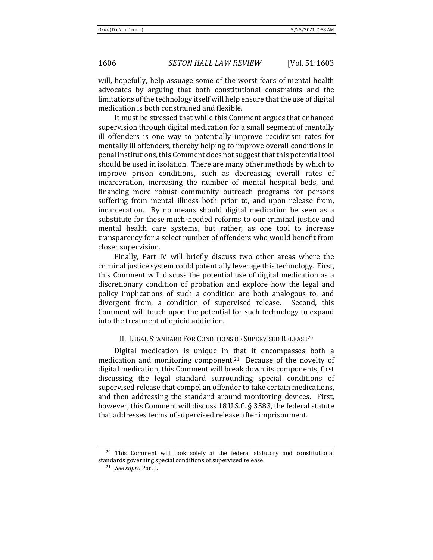will, hopefully, help assuage some of the worst fears of mental health advocates by arguing that both constitutional constraints and the limitations of the technology itself will help ensure that the use of digital medication is both constrained and flexible.

It must be stressed that while this Comment argues that enhanced supervision through digital medication for a small segment of mentally ill offenders is one way to potentially improve recidivism rates for mentally ill offenders, thereby helping to improve overall conditions in penal institutions, this Comment does not suggest that this potential tool should be used in isolation. There are many other methods by which to improve prison conditions, such as decreasing overall rates of incarceration, increasing the number of mental hospital beds, and financing more robust community outreach programs for persons suffering from mental illness both prior to, and upon release from, incarceration. By no means should digital medication be seen as a substitute for these much-needed reforms to our criminal justice and mental health care systems, but rather, as one tool to increase transparency for a select number of offenders who would benefit from closer supervision.

Finally, Part IV will briefly discuss two other areas where the criminal justice system could potentially leverage this technology. First, this Comment will discuss the potential use of digital medication as a discretionary condition of probation and explore how the legal and policy implications of such a condition are both analogous to, and divergent from, a condition of supervised release. Second, this Comment will touch upon the potential for such technology to expand into the treatment of opioid addiction.

### II. LEGAL STANDARD FOR CONDITIONS OF SUPERVISED RELEASE<sup>20</sup>

Digital medication is unique in that it encompasses both a medication and monitoring component.21 Because of the novelty of digital medication, this Comment will break down its components, first discussing the legal standard surrounding special conditions of supervised release that compel an offender to take certain medications, and then addressing the standard around monitoring devices. First, however, this Comment will discuss 18 U.S.C. § 3583, the federal statute that addresses terms of supervised release after imprisonment.

<sup>&</sup>lt;sup>20</sup> This Comment will look solely at the federal statutory and constitutional standards governing special conditions of supervised release.

<sup>21</sup> *See supra* Part I.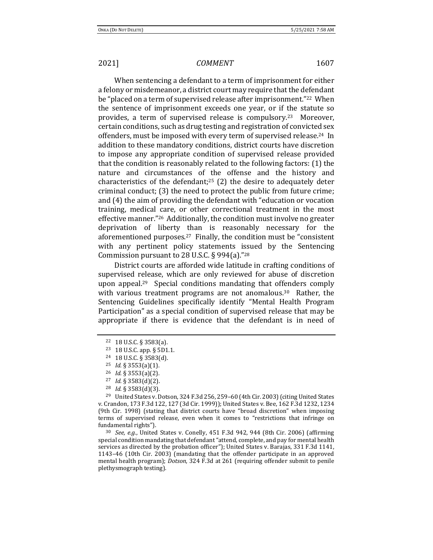When sentencing a defendant to a term of imprisonment for either a felony or misdemeanor, a district court may require that the defendant be "placed on a term of supervised release after imprisonment."22 When the sentence of imprisonment exceeds one year, or if the statute so provides, a term of supervised release is compulsory.23 Moreover, certain conditions, such as drug testing and registration of convicted sex offenders, must be imposed with every term of supervised release.24 In addition to these mandatory conditions, district courts have discretion to impose any appropriate condition of supervised release provided that the condition is reasonably related to the following factors: (1) the nature and circumstances of the offense and the history and characteristics of the defendant;<sup>25</sup> (2) the desire to adequately deter criminal conduct; (3) the need to protect the public from future crime; and (4) the aim of providing the defendant with "education or vocation training, medical care, or other correctional treatment in the most effective manner."26 Additionally, the condition must involve no greater deprivation of liberty than is reasonably necessary for the aforementioned purposes.27 Finally, the condition must be "consistent with any pertinent policy statements issued by the Sentencing Commission pursuant to 28 U.S.C. § 994(a)."<sup>28</sup>

District courts are afforded wide latitude in crafting conditions of supervised release, which are only reviewed for abuse of discretion upon appeal.29 Special conditions mandating that offenders comply with various treatment programs are not anomalous.<sup>30</sup> Rather, the Sentencing Guidelines specifically identify "Mental Health Program Participation" as a special condition of supervised release that may be appropriate if there is evidence that the defendant is in need of

<sup>24</sup> 18 U.S.C. § 3583(d).

<sup>30</sup> *See, e.g.*, United States v. Conelly, 451 F.3d 942, 944 (8th Cir. 2006) (affirming special condition mandating that defendant "attend, complete, and pay for mental health services as directed by the probation officer"); United States v. Barajas, 331 F.3d 1141, 1143–46 (10th Cir. 2003) (mandating that the offender participate in an approved mental health program); *Dotson*, 324 F.3d at 261 (requiring offender submit to penile plethysmograph testing).

<sup>22</sup> 18 U.S.C. § 3583(a).

<sup>23</sup> 18 U.S.C. app. § 5D1.1.

<sup>25</sup> *Id.* § 3553(a)(1).

<sup>26</sup> *Id*. § 3553(a)(2).

<sup>27</sup> *Id.* § 3583(d)(2).

<sup>28</sup> *Id.* § 3583(d)(3).

<sup>&</sup>lt;sup>29</sup> United States v. Dotson, 324 F.3d 256, 259-60 (4th Cir. 2003) (citing United States v. Crandon, 173 F.3d 122, 127 (3d Cir. 1999)); United States v. Bee, 162 F.3d 1232, 1234 (9th Cir. 1998) (stating that district courts have "broad discretion" when imposing terms of supervised release, even when it comes to "restrictions that infringe on fundamental rights").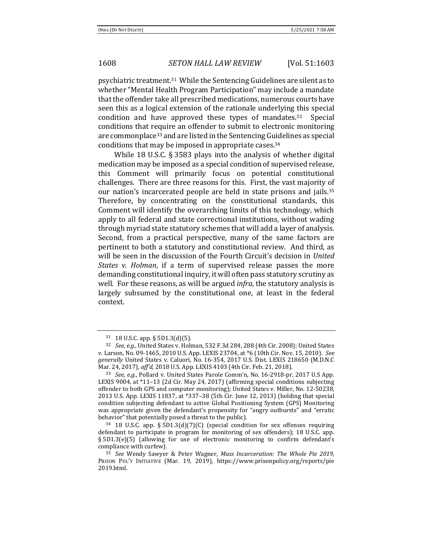psychiatric treatment.31 While the Sentencing Guidelines are silent as to whether "Mental Health Program Participation" may include a mandate that the offender take all prescribed medications, numerous courts have seen this as a logical extension of the rationale underlying this special condition and have approved these types of mandates.32 Special conditions that require an offender to submit to electronic monitoring are commonplace<sup>33</sup> and are listed in the Sentencing Guidelines as special conditions that may be imposed in appropriate cases.<sup>34</sup>

While 18 U.S.C. § 3583 plays into the analysis of whether digital medication may be imposed as a special condition of supervised release, this Comment will primarily focus on potential constitutional challenges. There are three reasons for this. First, the vast majority of our nation's incarcerated people are held in state prisons and jails.<sup>35</sup> Therefore, by concentrating on the constitutional standards, this Comment will identify the overarching limits of this technology, which apply to all federal and state correctional institutions, without wading through myriad state statutory schemes that will add a layer of analysis. Second, from a practical perspective, many of the same factors are pertinent to both a statutory and constitutional review. And third, as will be seen in the discussion of the Fourth Circuit's decision in *United States v. Holman*, if a term of supervised release passes the more demanding constitutional inquiry, it will often pass statutory scrutiny as well. For these reasons, as will be argued *infra*, the statutory analysis is largely subsumed by the constitutional one, at least in the federal context.

<sup>31</sup> 18 U.S.C. app. § 5D1.3(d)(5).

<sup>32</sup> *See, e.g.*, United States v. Holman, 532 F.3d 284, 288 (4th Cir. 2008); United States v. Larson, No. 09-1465, 2010 U.S. App. LEXIS 23704, at \*6 (10th Cir. Nov. 15, 2010). *See generally* United States v. Caluori, No. 16-354, 2017 U.S. Dist. LEXIS 218650 (M.D.N.C Mar. 24, 2017), *aff'd*, 2018 U.S. App. LEXIS 4103 (4th Cir. Feb. 21, 2018).

<sup>33</sup> *See, e.g.*, Pollard v. United States Parole Comm'n, No. 16-2918-pr, 2017 U.S App. LEXIS 9004, at \*11–13 (2d Cir. May 24, 2017) (affirming special conditions subjecting offender to both GPS and computer monitoring); United States v. Miller, No. 12-50238, 2013 U.S. App. LEXIS 11837, at \*337–38 (5th Cir. June 12, 2013) (holding that special condition subjecting defendant to active Global Positioning System (GPS) Monitoring was appropriate given the defendant's propensity for "angry outbursts" and "erratic behavior" that potentially posed a threat to the public).

<sup>34</sup> 18 U.S.C. app. § 5D1.3(d)(7)(C) (special condition for sex offenses requiring defendant to participate in program for monitoring of sex offenders); 18 U.S.C. app. § 5D1.3(e)(5) (allowing for use of electronic monitoring to confirm defendant's compliance with curfew).

<sup>35</sup> *See* Wendy Sawyer & Peter Wagner, *Mass Incarceration: The Whole Pie 2019*, PRISON POL'Y INITIATIVE (Mar. 19, 2019), https://www.prisonpolicy.org/reports/pie 2019.html.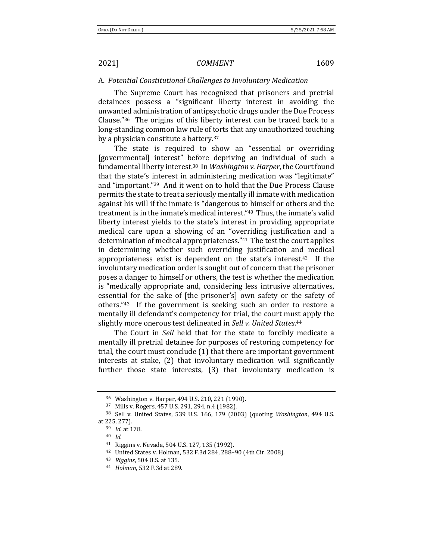# A. *Potential Constitutional Challenges to Involuntary Medication*

The Supreme Court has recognized that prisoners and pretrial detainees possess a "significant liberty interest in avoiding the unwanted administration of antipsychotic drugs under the Due Process Clause."36 The origins of this liberty interest can be traced back to a long-standing common law rule of torts that any unauthorized touching by a physician constitute a battery.<sup>37</sup>

The state is required to show an "essential or overriding [governmental] interest" before depriving an individual of such a fundamental liberty interest.38 In *Washington v. Harper*, the Court found that the state's interest in administering medication was "legitimate" and "important."39 And it went on to hold that the Due Process Clause permits the state to treat a seriously mentally ill inmate with medication against his will if the inmate is "dangerous to himself or others and the treatment is in the inmate's medical interest."40 Thus, the inmate's valid liberty interest yields to the state's interest in providing appropriate medical care upon a showing of an "overriding justification and a determination of medical appropriateness."41 The test the court applies in determining whether such overriding justification and medical appropriateness exist is dependent on the state's interest.42 If the involuntary medication order is sought out of concern that the prisoner poses a danger to himself or others, the test is whether the medication is "medically appropriate and, considering less intrusive alternatives, essential for the sake of [the prisoner's] own safety or the safety of others."43 If the government is seeking such an order to restore a mentally ill defendant's competency for trial, the court must apply the slightly more onerous test delineated in *Sell v. United States*. 44

The Court in *Sell* held that for the state to forcibly medicate a mentally ill pretrial detainee for purposes of restoring competency for trial, the court must conclude (1) that there are important government interests at stake, (2) that involuntary medication will significantly further those state interests, (3) that involuntary medication is

<sup>36</sup> Washington v. Harper, 494 U.S. 210, 221 (1990).

<sup>37</sup> Mills v. Rogers, 457 U.S. 291, 294, n.4 (1982).

<sup>38</sup> Sell v. United States, 539 U.S. 166, 179 (2003) (quoting *Washington*, 494 U.S. at 225, 277).

<sup>39</sup> *Id.* at 178.

<sup>40</sup> *Id.*

<sup>41</sup> Riggins v. Nevada, 504 U.S. 127, 135 (1992).

<sup>42</sup> United States v. Holman, 532 F.3d 284, 288–90 (4th Cir. 2008).

<sup>43</sup> *Riggins*, 504 U.S. at 135.

<sup>44</sup> *Holman*, 532 F.3d at 289.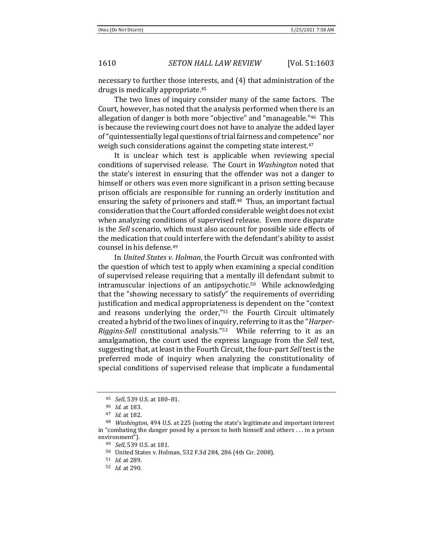necessary to further those interests, and (4) that administration of the drugs is medically appropriate.<sup>45</sup>

The two lines of inquiry consider many of the same factors. The Court, however, has noted that the analysis performed when there is an allegation of danger is both more "objective" and "manageable."46 This is because the reviewing court does not have to analyze the added layer of "quintessentially legal questions of trial fairness and competence" nor weigh such considerations against the competing state interest.<sup>47</sup>

It is unclear which test is applicable when reviewing special conditions of supervised release. The Court in *Washington* noted that the state's interest in ensuring that the offender was not a danger to himself or others was even more significant in a prison setting because prison officials are responsible for running an orderly institution and ensuring the safety of prisoners and staff.48 Thus, an important factual consideration that the Court afforded considerable weight does not exist when analyzing conditions of supervised release. Even more disparate is the *Sell* scenario, which must also account for possible side effects of the medication that could interfere with the defendant's ability to assist counsel in his defense.<sup>49</sup>

In *United States v. Holman*, the Fourth Circuit was confronted with the question of which test to apply when examining a special condition of supervised release requiring that a mentally ill defendant submit to intramuscular injections of an antipsychotic.50 While acknowledging that the "showing necessary to satisfy" the requirements of overriding justification and medical appropriateness is dependent on the "context and reasons underlying the order,"<sup>51</sup> the Fourth Circuit ultimately created a hybrid of the two lines of inquiry, referring to it as the "*Harper-Riggins-Sell* constitutional analysis."52 While referring to it as an amalgamation, the court used the express language from the *Sell* test, suggesting that, at least in the Fourth Circuit, the four-part *Sell* test is the preferred mode of inquiry when analyzing the constitutionality of special conditions of supervised release that implicate a fundamental

<sup>45</sup> *Sell*, 539 U.S. at 180–81.

<sup>46</sup> *Id.* at 183.

<sup>47</sup> *Id.* at 182.

<sup>48</sup> *Washington*, 494 U.S. at 225 (noting the state's legitimate and important interest in "combating the danger posed by a person to both himself and others . . . in a prison environment").

<sup>49</sup> *Sell*, 539 U.S. at 181.

<sup>50</sup> United States v. Holman, 532 F.3d 284, 286 (4th Cir. 2008).

<sup>51</sup> *Id.* at 289.

<sup>52</sup> *Id.* at 290.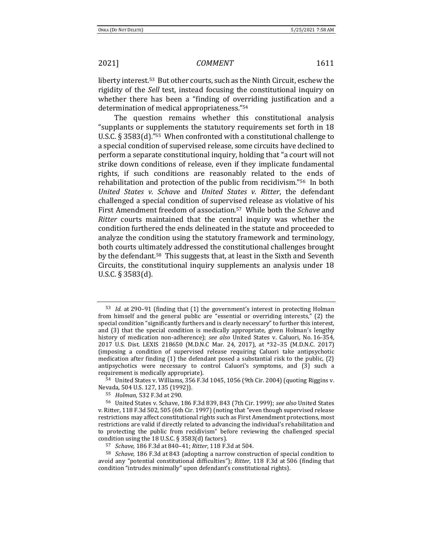liberty interest.53 But other courts, such as the Ninth Circuit, eschew the rigidity of the *Sell* test, instead focusing the constitutional inquiry on whether there has been a "finding of overriding justification and a determination of medical appropriateness."<sup>54</sup>

The question remains whether this constitutional analysis "supplants or supplements the statutory requirements set forth in 18 U.S.C. § 3583(d)."55 When confronted with a constitutional challenge to a special condition of supervised release, some circuits have declined to perform a separate constitutional inquiry, holding that "a court will not strike down conditions of release, even if they implicate fundamental rights, if such conditions are reasonably related to the ends of rehabilitation and protection of the public from recidivism."56 In both *United States v. Schave* and *United States v. Ritter*, the defendant challenged a special condition of supervised release as violative of his First Amendment freedom of association.57 While both the *Schave* and *Ritter* courts maintained that the central inquiry was whether the condition furthered the ends delineated in the statute and proceeded to analyze the condition using the statutory framework and terminology, both courts ultimately addressed the constitutional challenges brought by the defendant.58 This suggests that, at least in the Sixth and Seventh Circuits, the constitutional inquiry supplements an analysis under 18 U.S.C. § 3583(d).

<sup>54</sup> United States v. Williams, 356 F.3d 1045, 1056 (9th Cir. 2004) (quoting Riggins v. Nevada, 504 U.S. 127, 135 (1992)).

<sup>53</sup> *Id.* at 290–91 (finding that (1) the government's interest in protecting Holman from himself and the general public are "essential or overriding interests," (2) the special condition "significantly furthers and is clearly necessary" to further this interest, and (3) that the special condition is medically appropriate, given Holman's lengthy history of medication non-adherence); *see also* United States v. Caluori, No. 16-354, 2017 U.S. Dist. LEXIS 218650 (M.D.N.C Mar. 24, 2017), at \*32–35 (M.D.N.C. 2017) (imposing a condition of supervised release requiring Caluori take antipsychotic medication after finding (1) the defendant posed a substantial risk to the public, (2) antipsychotics were necessary to control Caluori's symptoms, and (3) such a requirement is medically appropriate).

<sup>55</sup> *Holman*, 532 F.3d at 290.

<sup>56</sup> United States v. Schave, 186 F.3d 839, 843 (7th Cir. 1999); *see also* United States v. Ritter, 118 F.3d 502, 505 (6th Cir. 1997) (noting that "even though supervised release restrictions may affect constitutional rights such as First Amendment protections, most restrictions are valid if directly related to advancing the individual's rehabilitation and to protecting the public from recidivism" before reviewing the challenged special condition using the 18 U.S.C. § 3583(d) factors).

<sup>57</sup> *Schave*, 186 F.3d at 840–41; *Ritter*, 118 F.3d at 504.

<sup>58</sup> *Schave*, 186 F.3d at 843 (adopting a narrow construction of special condition to avoid any "potential constitutional difficulties"); *Ritter*, 118 F.3d at 506 (finding that condition "intrudes minimally" upon defendant's constitutional rights).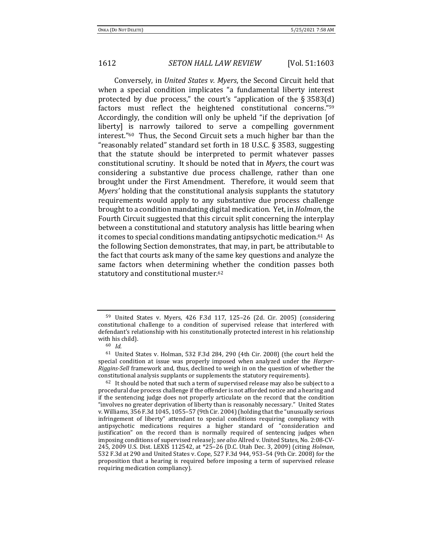Conversely, in *United States v. Myers*, the Second Circuit held that when a special condition implicates "a fundamental liberty interest protected by due process," the court's "application of the § 3583(d) factors must reflect the heightened constitutional concerns."<sup>59</sup> Accordingly, the condition will only be upheld "if the deprivation [of liberty] is narrowly tailored to serve a compelling government interest."60 Thus, the Second Circuit sets a much higher bar than the "reasonably related" standard set forth in 18 U.S.C. § 3583, suggesting that the statute should be interpreted to permit whatever passes constitutional scrutiny. It should be noted that in *Myers*, the court was considering a substantive due process challenge, rather than one brought under the First Amendment. Therefore, it would seem that *Myers'* holding that the constitutional analysis supplants the statutory requirements would apply to any substantive due process challenge brought to a condition mandating digital medication. Yet, in *Holman*, the Fourth Circuit suggested that this circuit split concerning the interplay between a constitutional and statutory analysis has little bearing when it comes to special conditions mandating antipsychotic medication.61 As the following Section demonstrates, that may, in part, be attributable to the fact that courts ask many of the same key questions and analyze the same factors when determining whether the condition passes both statutory and constitutional muster.<sup>62</sup>

<sup>59</sup> United States v. Myers, 426 F.3d 117, 125–26 (2d. Cir. 2005) (considering constitutional challenge to a condition of supervised release that interfered with defendant's relationship with his constitutionally protected interest in his relationship with his child).

<sup>60</sup> *Id.*

<sup>61</sup> United States v. Holman, 532 F.3d 284, 290 (4th Cir. 2008) (the court held the special condition at issue was properly imposed when analyzed under the *Harper-Riggins-Sell* framework and, thus, declined to weigh in on the question of whether the constitutional analysis supplants or supplements the statutory requirements).

 $62$  It should be noted that such a term of supervised release may also be subject to a procedural due process challenge if the offender is not afforded notice and a hearing and if the sentencing judge does not properly articulate on the record that the condition "involves no greater deprivation of liberty than is reasonably necessary." United States v. Williams, 356 F.3d 1045, 1055–57 (9th Cir. 2004) (holding that the "unusually serious infringement of liberty" attendant to special conditions requiring compliancy with antipsychotic medications requires a higher standard of "consideration and justification" on the record than is normally required of sentencing judges when imposing conditions of supervised release); *see also* Allred v. United States, No. 2:08-CV-245, 2009 U.S. Dist. LEXIS 112542, at \*25–26 (D.C. Utah Dec. 3, 2009) (citing *Holman*, 532 F.3d at 290 and United States v. Cope, 527 F.3d 944, 953–54 (9th Cir. 2008) for the proposition that a hearing is required before imposing a term of supervised release requiring medication compliancy).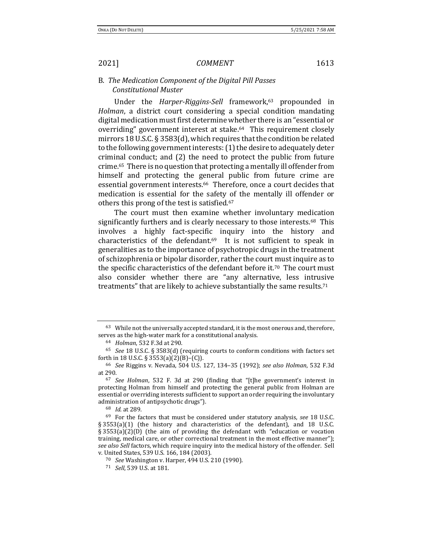B. *The Medication Component of the Digital Pill Passes Constitutional Muster* 

Under the *Harper-Riggins-Sell* framework,<sup>63</sup> propounded in *Holman*, a district court considering a special condition mandating digital medication must first determine whether there is an "essential or overriding" government interest at stake.64 This requirement closely mirrors 18 U.S.C. § 3583(d), which requires that the condition be related to the following government interests: (1) the desire to adequately deter criminal conduct; and (2) the need to protect the public from future crime.65 There is no question that protecting a mentally ill offender from himself and protecting the general public from future crime are essential government interests.<sup>66</sup> Therefore, once a court decides that medication is essential for the safety of the mentally ill offender or others this prong of the test is satisfied.<sup>67</sup>

The court must then examine whether involuntary medication significantly furthers and is clearly necessary to those interests.<sup>68</sup> This involves a highly fact-specific inquiry into the history and characteristics of the defendant. $69$  It is not sufficient to speak in generalities as to the importance of psychotropic drugs in the treatment of schizophrenia or bipolar disorder, rather the court must inquire as to the specific characteristics of the defendant before it.70 The court must also consider whether there are "any alternative, less intrusive treatments" that are likely to achieve substantially the same results.<sup>71</sup>

<sup>&</sup>lt;sup>63</sup> While not the universally accepted standard, it is the most onerous and, therefore, serves as the high-water mark for a constitutional analysis.

<sup>64</sup> *Holman*, 532 F.3d at 290.

<sup>65</sup> *See* 18 U.S.C. § 3583(d) (requiring courts to conform conditions with factors set forth in 18 U.S.C. § 3553(a)(2)(B)–(C)).

<sup>66</sup> *See* Riggins v. Nevada, 504 U.S. 127, 134–35 (1992); *see also Holman*, 532 F.3d at 290.

<sup>67</sup> *See Holman*, 532 F. 3d at 290 (finding that "[t]he government's interest in protecting Holman from himself and protecting the general public from Holman are essential or overriding interests sufficient to support an order requiring the involuntary administration of antipsychotic drugs").

<sup>68</sup> *Id*. at 289.

<sup>69</sup> For the factors that must be considered under statutory analysis, *see* 18 U.S.C. § 3553(a)(1) (the history and characteristics of the defendant), and 18 U.S.C. § 3553(a)(2)(D) (the aim of providing the defendant with "education or vocation training, medical care, or other correctional treatment in the most effective manner"); *see also Sell* factors, which require inquiry into the medical history of the offender. Sell v. United States, 539 U.S. 166, 184 (2003).

<sup>70</sup> *See* Washington v. Harper, 494 U.S. 210 (1990).

<sup>71</sup> *Sell*, 539 U.S. at 181.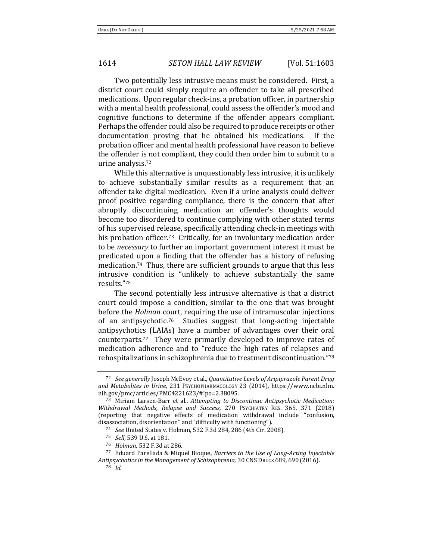Two potentially less intrusive means must be considered. First, a district court could simply require an offender to take all prescribed medications. Upon regular check-ins, a probation officer, in partnership with a mental health professional, could assess the offender's mood and cognitive functions to determine if the offender appears compliant. Perhaps the offender could also be required to produce receipts or other documentation proving that he obtained his medications. If the probation officer and mental health professional have reason to believe the offender is not compliant, they could then order him to submit to a urine analysis.<sup>72</sup>

While this alternative is unquestionably less intrusive, it is unlikely to achieve substantially similar results as a requirement that an offender take digital medication. Even if a urine analysis could deliver proof positive regarding compliance, there is the concern that after abruptly discontinuing medication an offender's thoughts would become too disordered to continue complying with other stated terms of his supervised release, specifically attending check-in meetings with his probation officer.<sup>73</sup> Critically, for an involuntary medication order to be *necessary* to further an important government interest it must be predicated upon a finding that the offender has a history of refusing medication.74 Thus, there are sufficient grounds to argue that this less intrusive condition is "unlikely to achieve substantially the same results."<sup>75</sup>

<span id="page-11-1"></span>The second potentially less intrusive alternative is that a district court could impose a condition, similar to the one that was brought before the *Holman* court, requiring the use of intramuscular injections of an antipsychotic.76 Studies suggest that long-acting injectable antipsychotics (LAIAs) have a number of advantages over their oral counterparts.77 They were primarily developed to improve rates of medication adherence and to "reduce the high rates of relapses and rehospitalizations in schizophrenia due to treatment discontinuation."<sup>78</sup>

<span id="page-11-0"></span><sup>72</sup> *See generally* Joseph McEvoy et al., *Quantitative Levels of Aripiprazole Parent Drug and Metabolites in Urine*, 231 PSYCHOPHARMACOLOGY 23 (2014), https://www.ncbi.nlm. nih.gov/pmc/articles/PMC4221623/#!po=2.38095.

<sup>73</sup> Miriam Larsen-Barr et al., *Attempting to Discontinue Antipsychotic Medication: Withdrawal Methods, Relapse and Success*, 270 PSYCHIATRY RES. 365, 371 (2018) (reporting that negative effects of medication withdrawal include "confusion, disassociation, disorientation" and "difficulty with functioning").

<sup>74</sup> *See* United States v. Holman, 532 F.3d 284, 286 (4th Cir. 2008).

<sup>75</sup> *Sell*, 539 U.S. at 181.

<sup>76</sup> *Holman*, 532 F.3d at 286.

<sup>77</sup> Eduard Parellada & Miquel Bioque, *Barriers to the Use of Long-Acting Injectable Antipsychotics in the Management of Schizophrenia,* 30 CNSDRUGS 689, 690 (2016).

<sup>78</sup> *Id*.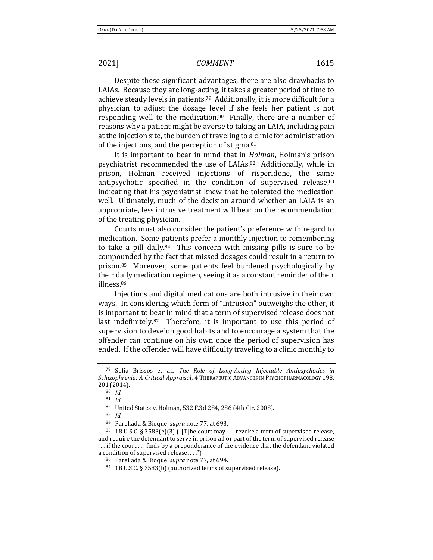Despite these significant advantages, there are also drawbacks to LAIAs. Because they are long-acting, it takes a greater period of time to achieve steady levels in patients.79 Additionally, it is more difficult for a physician to adjust the dosage level if she feels her patient is not responding well to the medication.<sup>80</sup> Finally, there are a number of reasons why a patient might be averse to taking an LAIA, including pain at the injection site, the burden of traveling to a clinic for administration of the injections, and the perception of stigma.<sup>81</sup>

It is important to bear in mind that in *Holman*, Holman's prison psychiatrist recommended the use of LAIAs.82 Additionally, while in prison, Holman received injections of risperidone, the same antipsychotic specified in the condition of supervised release,<sup>83</sup> indicating that his psychiatrist knew that he tolerated the medication well. Ultimately, much of the decision around whether an LAIA is an appropriate, less intrusive treatment will bear on the recommendation of the treating physician.

Courts must also consider the patient's preference with regard to medication. Some patients prefer a monthly injection to remembering to take a pill daily.84 This concern with missing pills is sure to be compounded by the fact that missed dosages could result in a return to prison.85 Moreover, some patients feel burdened psychologically by their daily medication regimen, seeing it as a constant reminder of their illness.<sup>86</sup>

Injections and digital medications are both intrusive in their own ways. In considering which form of "intrusion" outweighs the other, it is important to bear in mind that a term of supervised release does not last indefinitely.87 Therefore, it is important to use this period of supervision to develop good habits and to encourage a system that the offender can continue on his own once the period of supervision has ended. If the offender will have difficulty traveling to a clinic monthly to

<sup>83</sup> *Id.*

<sup>79</sup> Sofia Brissos et al., *The Role of Long-Acting Injectable Antipsychotics in Schizophrenia: A Critical Appraisal*, 4 THERAPEUTIC ADVANCES IN PSYCHOPHARMACOLOGY 198, 201 (2014).

<sup>80</sup> *Id.*

<sup>81</sup> *Id.*

<sup>82</sup> United States v. Holman, 532 F.3d 284, 286 (4th Cir. 2008).

<sup>84</sup> Parellada & Bioque, *supra* not[e 77,](#page-11-0) at 693.

<sup>&</sup>lt;sup>85</sup> 18 U.S.C. § 3583(e)(3) ("[T]he court may ... revoke a term of supervised release, and require the defendant to serve in prison all or part of the term of supervised release . . . if the court . . . finds by a preponderance of the evidence that the defendant violated a condition of supervised release. . . .")

<sup>86</sup> Parellada & Bioque, *supra* not[e 77,](#page-11-0) at 694.

<sup>87</sup> 18 U.S.C. § 3583(b) (authorized terms of supervised release).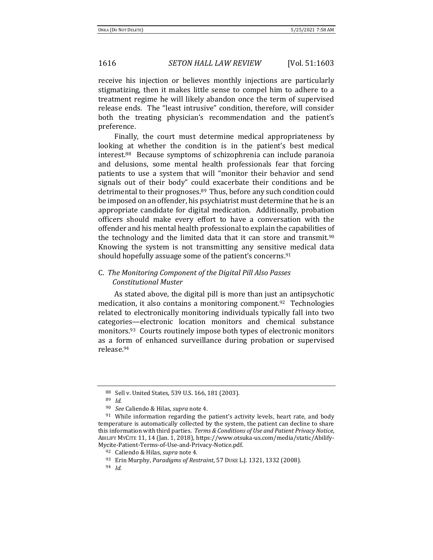receive his injection or believes monthly injections are particularly stigmatizing, then it makes little sense to compel him to adhere to a treatment regime he will likely abandon once the term of supervised release ends. The "least intrusive" condition, therefore, will consider both the treating physician's recommendation and the patient's preference.

Finally, the court must determine medical appropriateness by looking at whether the condition is in the patient's best medical interest.88 Because symptoms of schizophrenia can include paranoia and delusions, some mental health professionals fear that forcing patients to use a system that will "monitor their behavior and send signals out of their body" could exacerbate their conditions and be detrimental to their prognoses.<sup>89</sup> Thus, before any such condition could be imposed on an offender, his psychiatrist must determine that he is an appropriate candidate for digital medication. Additionally, probation officers should make every effort to have a conversation with the offender and his mental health professional to explain the capabilities of the technology and the limited data that it can store and transmit.<sup>90</sup> Knowing the system is not transmitting any sensitive medical data should hopefully assuage some of the patient's concerns.<sup>91</sup>

# C. *The Monitoring Component of the Digital Pill Also Passes Constitutional Muster*

<span id="page-13-0"></span>As stated above, the digital pill is more than just an antipsychotic medication, it also contains a monitoring component.<sup>92</sup> Technologies related to electronically monitoring individuals typically fall into two categories—electronic location monitors and chemical substance monitors.93 Courts routinely impose both types of electronic monitors as a form of enhanced surveillance during probation or supervised release.<sup>94</sup>

<sup>88</sup> Sell v. United States, 539 U.S. 166, 181 (2003).

<sup>89</sup> *Id.*

<sup>90</sup> *See* Caliendo & Hilas, *supra* not[e 4.](#page-0-1)

 $91$  While information regarding the patient's activity levels, heart rate, and body temperature is automatically collected by the system, the patient can decline to share this information with third parties. *Terms & Conditions of Use and Patient Privacy Notice*, ABILIFY MYCITE 11, 14 (Jan. 1, 2018), https://www.otsuka-us.com/media/static/Abilify-Mycite-Patient-Terms-of-Use-and-Privacy-Notice.pdf.

<sup>92</sup> Caliendo & Hilas, *supra* not[e 4.](#page-0-1)

<sup>93</sup> Erin Murphy, *Paradigms of Restraint*, 57 DUKE L.J. 1321, 1332 (2008).

<sup>94</sup> *Id.*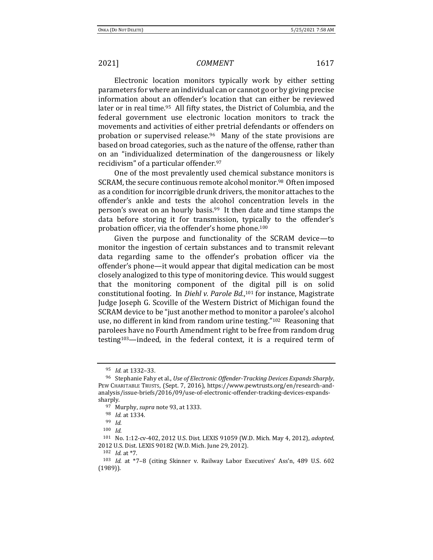Electronic location monitors typically work by either setting parameters for where an individual can or cannot go or by giving precise information about an offender's location that can either be reviewed later or in real time.<sup>95</sup> All fifty states, the District of Columbia, and the federal government use electronic location monitors to track the movements and activities of either pretrial defendants or offenders on probation or supervised release.96 Many of the state provisions are based on broad categories, such as the nature of the offense, rather than on an "individualized determination of the dangerousness or likely recidivism" of a particular offender.<sup>97</sup>

One of the most prevalently used chemical substance monitors is SCRAM, the secure continuous remote alcohol monitor.<sup>98</sup> Often imposed as a condition for incorrigible drunk drivers, the monitor attaches to the offender's ankle and tests the alcohol concentration levels in the person's sweat on an hourly basis.<sup>99</sup> It then date and time stamps the data before storing it for transmission, typically to the offender's probation officer, via the offender's home phone.<sup>100</sup>

Given the purpose and functionality of the SCRAM device—to monitor the ingestion of certain substances and to transmit relevant data regarding same to the offender's probation officer via the offender's phone—it would appear that digital medication can be most closely analogized to this type of monitoring device. This would suggest that the monitoring component of the digital pill is on solid constitutional footing. In *Diehl v. Parole Bd.*, <sup>101</sup> for instance, Magistrate Judge Joseph G. Scoville of the Western District of Michigan found the SCRAM device to be "just another method to monitor a parolee's alcohol use, no different in kind from random urine testing."102 Reasoning that parolees have no Fourth Amendment right to be free from random drug testing103—indeed, in the federal context, it is a required term of

<sup>95</sup> *Id.* at 1332–33.

<sup>96</sup> Stephanie Fahy et al., *Use of Electronic Offender-Tracking Devices Expands Sharply*, PEW CHARITABLE TRUSTS, (Sept. 7, 2016), https://www.pewtrusts.org/en/research-andanalysis/issue-briefs/2016/09/use-of-electronic-offender-tracking-devices-expandssharply.

<sup>97</sup> Murphy, *supra* not[e 93,](#page-13-0) at 1333.

<sup>98</sup> *Id.* at 1334.

<sup>99</sup> *Id.*

<sup>100</sup> *Id.*

<sup>101</sup> No. 1:12-cv-402, 2012 U.S. Dist. LEXIS 91059 (W.D. Mich. May 4, 2012), *adopted*, 2012 U.S. Dist. LEXIS 90182 (W.D. Mich. June 29, 2012).

<sup>102</sup> *Id.* at \*7.

<sup>103</sup> *Id.* at \*7–8 (citing Skinner v. Railway Labor Executives' Ass'n, 489 U.S. 602 (1989)).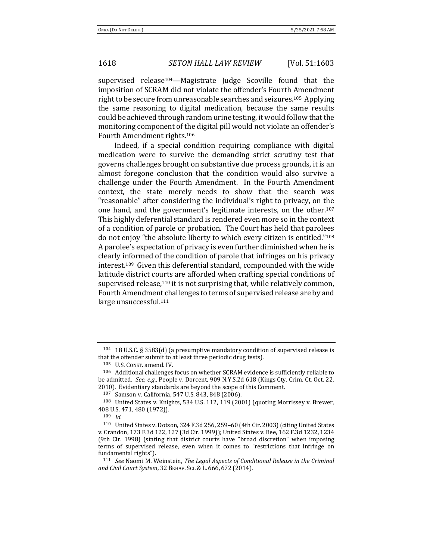supervised release<sup>104</sup>—Magistrate Judge Scoville found that the imposition of SCRAM did not violate the offender's Fourth Amendment right to be secure from unreasonable searches and seizures.105 Applying the same reasoning to digital medication, because the same results could be achieved through random urine testing, it would follow that the monitoring component of the digital pill would not violate an offender's Fourth Amendment rights.<sup>106</sup>

Indeed, if a special condition requiring compliance with digital medication were to survive the demanding strict scrutiny test that governs challenges brought on substantive due process grounds, it is an almost foregone conclusion that the condition would also survive a challenge under the Fourth Amendment. In the Fourth Amendment context, the state merely needs to show that the search was "reasonable" after considering the individual's right to privacy, on the one hand, and the government's legitimate interests, on the other.<sup>107</sup> This highly deferential standard is rendered even more so in the context of a condition of parole or probation. The Court has held that parolees do not enjoy "the absolute liberty to which every citizen is entitled."<sup>108</sup> A parolee's expectation of privacy is even further diminished when he is clearly informed of the condition of parole that infringes on his privacy interest.109 Given this deferential standard, compounded with the wide latitude district courts are afforded when crafting special conditions of supervised release,<sup>110</sup> it is not surprising that, while relatively common, Fourth Amendment challenges to terms of supervised release are by and large unsuccessful.<sup>111</sup>

<sup>104</sup> 18 U.S.C. § 3583(d) (a presumptive mandatory condition of supervised release is that the offender submit to at least three periodic drug tests).

<sup>105</sup> U.S. CONST. amend. IV.

<sup>106</sup> Additional challenges focus on whether SCRAM evidence is sufficiently reliable to be admitted. *See, e.g.*, People v. Dorcent, 909 N.Y.S.2d 618 (Kings Cty. Crim. Ct. Oct. 22, 2010). Evidentiary standards are beyond the scope of this Comment.

<sup>107</sup> Samson v. California, 547 U.S. 843, 848 (2006).

<sup>108</sup> United States v. Knights, 534 U.S. 112, 119 (2001) (quoting Morrissey v. Brewer, 408 U.S. 471, 480 (1972)).

<sup>109</sup> *Id.*

<sup>110</sup> United States v. Dotson, 324 F.3d 256, 259–60 (4th Cir. 2003) (citing United States v. Crandon, 173 F.3d 122, 127 (3d Cir. 1999)); United States v. Bee, 162 F.3d 1232, 1234 (9th Cir. 1998) (stating that district courts have "broad discretion" when imposing terms of supervised release, even when it comes to "restrictions that infringe on fundamental rights").

<sup>111</sup> *See* Naomi M. Weinstein, *The Legal Aspects of Conditional Release in the Criminal and Civil Court System*, 32 BEHAV. SCI.& L. 666, 672 (2014).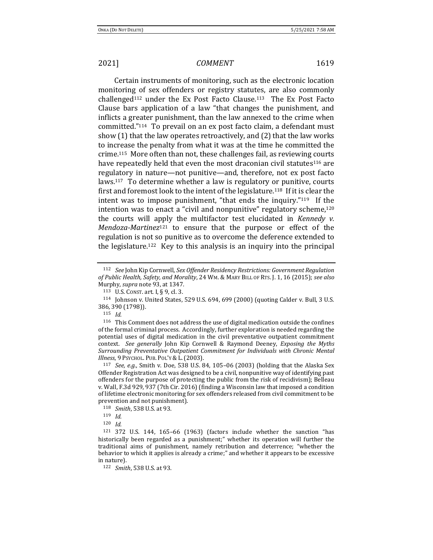Certain instruments of monitoring, such as the electronic location monitoring of sex offenders or registry statutes, are also commonly challenged<sup>112</sup> under the Ex Post Facto Clause.113 The Ex Post Facto Clause bars application of a law "that changes the punishment, and inflicts a greater punishment, than the law annexed to the crime when committed."114 To prevail on an ex post facto claim, a defendant must show (1) that the law operates retroactively, and (2) that the law works to increase the penalty from what it was at the time he committed the crime.115 More often than not, these challenges fail, as reviewing courts have repeatedly held that even the most draconian civil statutes<sup>116</sup> are regulatory in nature—not punitive—and, therefore, not ex post facto laws.117 To determine whether a law is regulatory or punitive, courts first and foremost look to the intent of the legislature.118 If it is clear the intent was to impose punishment, "that ends the inquiry."119 If the intention was to enact a "civil and nonpunitive" regulatory scheme,<sup>120</sup> the courts will apply the multifactor test elucidated in *Kennedy v. Mendoza-Martinez*<sup>121</sup> to ensure that the purpose or effect of the regulation is not so punitive as to overcome the deference extended to the legislature.122 Key to this analysis is an inquiry into the principal

<sup>112</sup> *See* John Kip Cornwell, *Sex Offender Residency Restrictions: Government Regulation of Public Health, Safety, and Morality*, 24 WM. & MARY BILL OF RTS. J. 1, 16 (2015); *see also* Murphy, *supra* not[e 93,](#page-13-0) at 1347.

<sup>113</sup> U.S. CONST. art. I, § 9, cl. 3.

<sup>114</sup> Johnson v. United States, 529 U.S. 694, 699 (2000) (quoting Calder v. Bull, 3 U.S. 386, 390 (1798)).

<sup>115</sup> *Id.*

<sup>116</sup> This Comment does not address the use of digital medication outside the confines of the formal criminal process. Accordingly, further exploration is needed regarding the potential uses of digital medication in the civil preventative outpatient commitment context. *See generally* John Kip Cornwell & Raymond Deeney, *Exposing the Myths Surrounding Preventative Outpatient Commitment for Individuals with Chronic Mental Illness*, 9 PSYCHOL. PUB. POL'Y & L.(2003).

<sup>117</sup> *See, e.g.*, Smith v. Doe, 538 U.S. 84, 105–06 (2003) (holding that the Alaska Sex Offender Registration Act was designed to be a civil, nonpunitive way of identifying past offenders for the purpose of protecting the public from the risk of recidivism); Belleau v. Wall, F.3d 929, 937 (7th Cir. 2016) (finding a Wisconsin law that imposed a condition of lifetime electronic monitoring for sex offenders released from civil commitment to be prevention and not punishment).

<sup>118</sup> *Smith*, 538 U.S. at 93.

<sup>119</sup> *Id.*

<sup>120</sup> *Id.*

<sup>121</sup> 372 U.S. 144, 165–66 (1963) (factors include whether the sanction "has historically been regarded as a punishment;" whether its operation will further the traditional aims of punishment, namely retribution and deterrence; "whether the behavior to which it applies is already a crime;" and whether it appears to be excessive in nature).

<sup>122</sup> *Smith*, 538 U.S. at 93.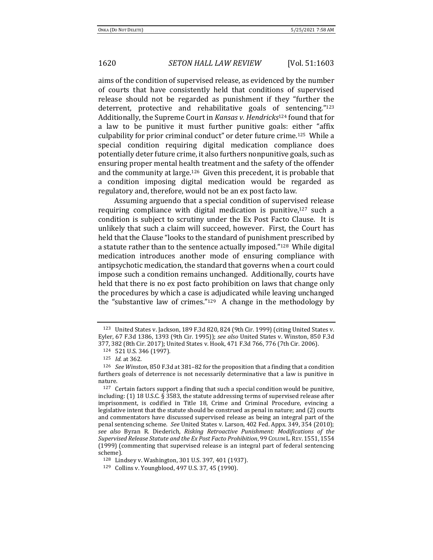aims of the condition of supervised release, as evidenced by the number of courts that have consistently held that conditions of supervised release should not be regarded as punishment if they "further the deterrent, protective and rehabilitative goals of sentencing."<sup>123</sup> Additionally, the Supreme Court in *Kansas v. Hendricks*<sup>124</sup> found that for a law to be punitive it must further punitive goals: either "affix culpability for prior criminal conduct" or deter future crime.125 While a special condition requiring digital medication compliance does potentially deter future crime, it also furthers nonpunitive goals, such as ensuring proper mental health treatment and the safety of the offender and the community at large.126 Given this precedent, it is probable that a condition imposing digital medication would be regarded as regulatory and, therefore, would not be an ex post facto law.

Assuming arguendo that a special condition of supervised release requiring compliance with digital medication is punitive,<sup>127</sup> such a condition is subject to scrutiny under the Ex Post Facto Clause. It is unlikely that such a claim will succeed, however. First, the Court has held that the Clause "looks to the standard of punishment prescribed by a statute rather than to the sentence actually imposed."128 While digital medication introduces another mode of ensuring compliance with antipsychotic medication, the standard that governs when a court could impose such a condition remains unchanged. Additionally, courts have held that there is no ex post facto prohibition on laws that change only the procedures by which a case is adjudicated while leaving unchanged the "substantive law of crimes." $129$  A change in the methodology by

<sup>123</sup> United States v. Jackson, 189 F.3d 820, 824 (9th Cir. 1999) (citing United States v. Eyler, 67 F.3d 1386, 1393 (9th Cir. 1995)); *see also* United States v. Winston, 850 F.3d 377, 382 (8th Cir. 2017); United States v. Hook, 471 F.3d 766, 776 (7th Cir. 2006).

<sup>124</sup> 521 U.S. 346 (1997).

<sup>125</sup> *Id.* at 362.

<sup>126</sup> *See Winston*, 850 F.3d at 381–82 for the proposition that a finding that a condition furthers goals of deterrence is not necessarily determinative that a law is punitive in nature.

 $127$  Certain factors support a finding that such a special condition would be punitive, including: (1) 18 U.S.C.  $\hat{S}$  3583, the statute addressing terms of supervised release after imprisonment, is codified in Title 18, Crime and Criminal Procedure, evincing a legislative intent that the statute should be construed as penal in nature; and (2) courts and commentators have discussed supervised release as being an integral part of the penal sentencing scheme. *See* United States v. Larson, 402 Fed. Appx. 349, 354 (2010); *see also* Byran R. Diederich, *Risking Retroactive Punishment: Modifications of the Supervised Release Statute and the Ex Post Facto Prohibition*, 99 COLUM L.REV. 1551, 1554 (1999) (commenting that supervised release is an integral part of federal sentencing scheme).

<sup>128</sup> Lindsey v. Washington, 301 U.S. 397, 401 (1937).

<sup>129</sup> Collins v. Youngblood, 497 U.S. 37, 45 (1990).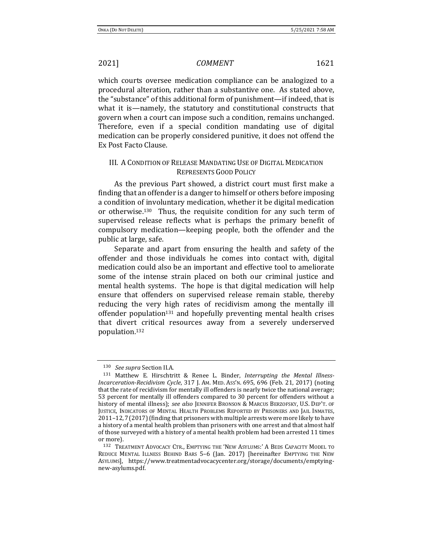which courts oversee medication compliance can be analogized to a procedural alteration, rather than a substantive one. As stated above, the "substance" of this additional form of punishment—if indeed, that is what it is—namely, the statutory and constitutional constructs that govern when a court can impose such a condition, remains unchanged. Therefore, even if a special condition mandating use of digital medication can be properly considered punitive, it does not offend the Ex Post Facto Clause.

# III. A CONDITION OF RELEASE MANDATING USE OF DIGITAL MEDICATION REPRESENTS GOOD POLICY

As the previous Part showed, a district court must first make a finding that an offender is a danger to himself or others before imposing a condition of involuntary medication, whether it be digital medication or otherwise.130 Thus, the requisite condition for any such term of supervised release reflects what is perhaps the primary benefit of compulsory medication—keeping people, both the offender and the public at large, safe.

Separate and apart from ensuring the health and safety of the offender and those individuals he comes into contact with, digital medication could also be an important and effective tool to ameliorate some of the intense strain placed on both our criminal justice and mental health systems. The hope is that digital medication will help ensure that offenders on supervised release remain stable, thereby reducing the very high rates of recidivism among the mentally ill offender population<sup>131</sup> and hopefully preventing mental health crises that divert critical resources away from a severely underserved population.<sup>132</sup>

<span id="page-18-1"></span><span id="page-18-0"></span><sup>130</sup> *See supra* Section II.A.

<sup>131</sup> Matthew E. Hirschtritt & Renee L. Binder, *Interrupting the Mental Illness-Incarceration-Recidivism Cycle*, 317 J. AM. MED. ASS'N. 695, 696 (Feb. 21, 2017) (noting that the rate of recidivism for mentally ill offenders is nearly twice the national average; 53 percent for mentally ill offenders compared to 30 percent for offenders without a history of mental illness); *see also* JENNIFER BRONSON & MARCUS BERZOFSKY, U.S. DEP'T. OF JUSTICE, INDICATORS OF MENTAL HEALTH PROBLEMS REPORTED BY PRISONERS AND JAIL INMATES, 2011–12,7(2017)(finding that prisoners with multiple arrests were more likely to have a history of a mental health problem than prisoners with one arrest and that almost half of those surveyed with a history of a mental health problem had been arrested 11 times or more).

<sup>132</sup> TREATMENT ADVOCACY CTR., EMPTYING THE 'NEW ASYLUMS:' A BEDS CAPACITY MODEL TO REDUCE MENTAL ILLNESS BEHIND BARS 5–6 (Jan. 2017) [hereinafter EMPTYING THE NEW ASYLUMS], https://www.treatmentadvocacycenter.org/storage/documents/emptyingnew-asylums.pdf.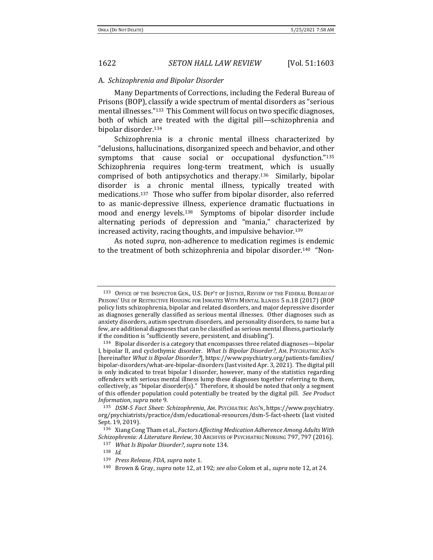### A. *Schizophrenia and Bipolar Disorder*

<span id="page-19-2"></span>Many Departments of Corrections, including the Federal Bureau of Prisons (BOP), classify a wide spectrum of mental disorders as "serious mental illnesses."133 This Comment will focus on two specific diagnoses, both of which are treated with the digital pill—schizophrenia and bipolar disorder.<sup>134</sup>

<span id="page-19-1"></span><span id="page-19-0"></span>Schizophrenia is a chronic mental illness characterized by "delusions, hallucinations, disorganized speech and behavior, and other symptoms that cause social or occupational dysfunction."<sup>135</sup> Schizophrenia requires long-term treatment, which is usually comprised of both antipsychotics and therapy.136 Similarly, bipolar disorder is a chronic mental illness, typically treated with medications.137 Those who suffer from bipolar disorder, also referred to as manic-depressive illness, experience dramatic fluctuations in mood and energy levels.138 Symptoms of bipolar disorder include alternating periods of depression and "mania," characterized by increased activity, racing thoughts, and impulsive behavior.<sup>139</sup>

As noted *supra*, non-adherence to medication regimes is endemic to the treatment of both schizophrenia and bipolar disorder.140 "Non-

<sup>133</sup> OFFICE OF THE INSPECTOR GEN., U.S. DEP'T OF JUSTICE, REVIEW OF THE FEDERAL BUREAU OF PRISONS' USE OF RESTRICTIVE HOUSING FOR INMATES WITH MENTAL ILLNESS 5 n.18 (2017) (BOP policy lists schizophrenia, bipolar and related disorders, and major depressive disorder as diagnoses generally classified as serious mental illnesses. Other diagnoses such as anxiety disorders, autism spectrum disorders, and personality disorders, to name but a few, are additional diagnoses that can be classified as serious mental illness, particularly if the condition is "sufficiently severe, persistent, and disabling").

 $134$  Bipolar disorder is a category that encompasses three related diagnoses—bipolar I, bipolar II, and cyclothymic disorder. *What Is Bipolar Disorder?*, AM. PSYCHIATRIC ASS'N [hereinafter *What is Bipolar Disorder?*], https://www.psychiatry.org/patients-families/ bipolar-disorders/what-are-bipolar-disorders (last visited Apr. 3, 2021). The digital pill is only indicated to treat bipolar I disorder, however, many of the statistics regarding offenders with serious mental illness lump these diagnoses together referring to them, collectively, as "bipolar disorder(s)." Therefore, it should be noted that only a segment of this offender population could potentially be treated by the digital pill. *See Product Information*, *supra* note [9.](#page-1-1)

<sup>135</sup> *DSM-5 Fact Sheet: Schizophrenia*, AM. PSYCHIATRIC ASS'N, https://www.psychiatry. org/psychiatrists/practice/dsm/educational-resources/dsm-5-fact-sheets (last visited Sept. 19, 2019).

<sup>136</sup> Xiang Cong Tham et al., *Factors Affecting Medication Adherence Among Adults With Schizophrenia: A Literature Review*, 30 ARCHIVES OF PSYCHIATRIC NURSING 797, 797 (2016).

<sup>137</sup> *What Is Bipolar Disorder?*, *supra* not[e 134.](#page-19-0)

<sup>138</sup> *Id.*

<sup>139</sup> *Press Release, FDA*, *supra* note [1.](#page-0-0)

<sup>140</sup> Brown & Gray, *supra* not[e 12,](#page-1-2) at 192; *see also* Colom et al., *supra* not[e 12,](#page-1-2) at 24.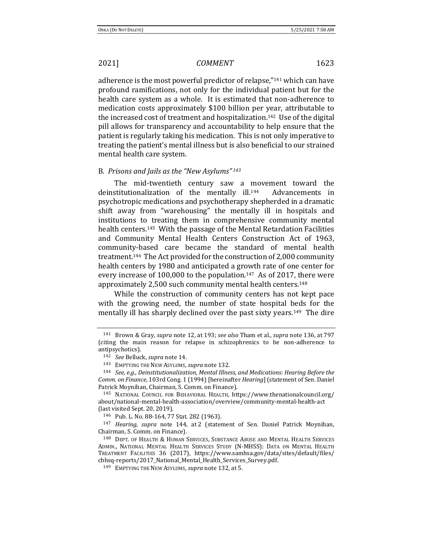<span id="page-20-0"></span>

adherence is the most powerful predictor of relapse,"<sup>141</sup> which can have profound ramifications, not only for the individual patient but for the health care system as a whole. It is estimated that non-adherence to medication costs approximately \$100 billion per year, attributable to the increased cost of treatment and hospitalization.142 Use of the digital pill allows for transparency and accountability to help ensure that the patient is regularly taking his medication. This is not only imperative to treating the patient's mental illness but is also beneficial to our strained mental health care system.

### B. *Prisons and Jails as the "New Asylums" <sup>143</sup>*

The mid-twentieth century saw a movement toward the deinstitutionalization of the mentally ill.144 Advancements in psychotropic medications and psychotherapy shepherded in a dramatic shift away from "warehousing" the mentally ill in hospitals and institutions to treating them in comprehensive community mental health centers.145 With the passage of the Mental Retardation Facilities and Community Mental Health Centers Construction Act of 1963, community-based care became the standard of mental health treatment.146 The Act provided for the construction of 2,000 community health centers by 1980 and anticipated a growth rate of one center for every increase of 100,000 to the population.147 As of 2017, there were approximately 2,500 such community mental health centers.<sup>148</sup>

While the construction of community centers has not kept pace with the growing need, the number of state hospital beds for the mentally ill has sharply declined over the past sixty years.149 The dire

<sup>141</sup> Brown & Gray, *supra* note [12,](#page-1-2) at 193; *see also* Tham et al., *supra* not[e 136,](#page-19-1) at 797 (citing the main reason for relapse in schizophrenics to be non-adherence to antipsychotics).

<sup>142</sup> *See* Belluck, *supra* not[e 14.](#page-1-3) 

<sup>143</sup> EMPTYING THE NEW ASYLUMS, *supra* not[e 132.](#page-18-0)

<sup>144</sup> *See, e.g.*, *Deinstitutionalization, Mental Illness, and Medications: Hearing Before the Comm. on Finance*, 103rd Cong. 1 (1994) [hereinafter *Hearing*] (statement of Sen. Daniel Patrick Moynihan, Chairman, S. Comm. on Finance).

<sup>145</sup> NATIONAL COUNCIL FOR BEHAVIORAL HEALTH, https://www.thenationalcouncil.org/ about/national-mental-health-association/overview/community-mental-health-act (last visited Sept. 20, 2019).

<sup>146</sup> Pub. L. No. 88-164, 77 Stat. 282 (1963).

<sup>147</sup> *Hearing, supra* note [144,](#page-20-0) at 2 (statement of Sen. Daniel Patrick Moynihan, Chairman, S. Comm. on Finance).

<sup>148</sup> DEPT. OF HEALTH & HUMAN SERVICES, SUBSTANCE ABUSE AND MENTAL HEALTH SERVICES ADMIN., NATIONAL MENTAL HEALTH SERVICES STUDY (N-MHSS): DATA ON MENTAL HEALTH TREATMENT FACILITIES 36 (2017), https://www.samhsa.gov/data/sites/default/files/ cbhsq-reports/2017\_National\_Mental\_Health\_Services\_Survey.pdf.

<sup>149</sup> EMPTYING THE NEW ASYLUMS, *supra* not[e 132,](#page-18-0) at 5.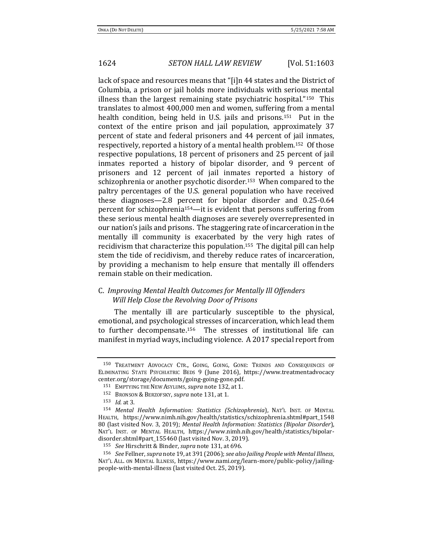lack of space and resources means that "[i]n 44 states and the District of Columbia, a prison or jail holds more individuals with serious mental illness than the largest remaining state psychiatric hospital."150 This translates to almost 400,000 men and women, suffering from a mental health condition, being held in U.S. jails and prisons.<sup>151</sup> Put in the context of the entire prison and jail population, approximately 37 percent of state and federal prisoners and 44 percent of jail inmates, respectively, reported a history of a mental health problem.152 Of those respective populations, 18 percent of prisoners and 25 percent of jail inmates reported a history of bipolar disorder, and 9 percent of prisoners and 12 percent of jail inmates reported a history of schizophrenia or another psychotic disorder.153 When compared to the paltry percentages of the U.S. general population who have received these diagnoses—2.8 percent for bipolar disorder and 0.25-0.64 percent for schizophrenia154—it is evident that persons suffering from these serious mental health diagnoses are severely overrepresented in our nation's jails and prisons. The staggering rate of incarceration in the mentally ill community is exacerbated by the very high rates of recidivism that characterize this population.155 The digital pill can help stem the tide of recidivism, and thereby reduce rates of incarceration, by providing a mechanism to help ensure that mentally ill offenders remain stable on their medication.

# C. *Improving Mental Health Outcomes for Mentally Ill Offenders Will Help Close the Revolving Door of Prisons*

The mentally ill are particularly susceptible to the physical, emotional, and psychological stresses of incarceration, which lead them to further decompensate.156 The stresses of institutional life can manifest in myriad ways, including violence. A 2017 special report from

<sup>150</sup> TREATMENT ADVOCACY CTR., GOING, GOING, GONE: TRENDS AND CONSEQUENCES OF ELIMINATING STATE PSYCHIATRIC BEDS 9 (June 2016), https://www.treatmentadvocacy center.org/storage/documents/going-going-gone.pdf.

<sup>151</sup> EMPTYING THE NEW ASYLUMS, *supra* not[e 132,](#page-18-0) at 1.

<sup>152</sup> BRONSON & BERZOFSKY, *supra* not[e 131,](#page-18-1) at 1.

<sup>153</sup> *Id.* at 3.

<sup>154</sup> *Mental Health Information: Statistics (Schizophrenia*), NAT'L INST. OF MENTAL HEALTH, https://www.nimh.nih.gov/health/statistics/schizophrenia.shtml#part\_1548 80 (last visited Nov. 3, 2019); *Mental Health Information: Statistics (Bipolar Disorder*), NAT'L INST. OF MENTAL HEALTH, https://www.nimh.nih.gov/health/statistics/bipolardisorder.shtml#part\_155460 (last visited Nov. 3, 2019).

<sup>155</sup> *See* Hirschritt & Binder, *supra* note [131,](#page-18-1) at 696.

<sup>156</sup> *See* Fellner, *supra* not[e 19,](#page-2-0) at 391 (2006); *see also Jailing People with Mental Illness*, NAT'L ALL. ON MENTAL ILLNESS, https://www.nami.org/learn-more/public-policy/jailingpeople-with-mental-illness (last visited Oct. 25, 2019).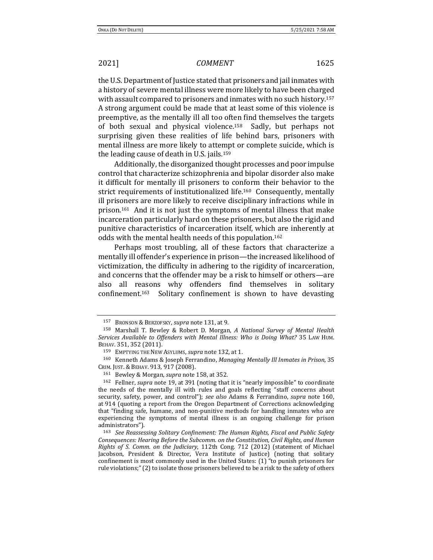the U.S. Department of Justice stated that prisoners and jail inmates with a history of severe mental illness were more likely to have been charged with assault compared to prisoners and inmates with no such history.<sup>157</sup> A strong argument could be made that at least some of this violence is preemptive, as the mentally ill all too often find themselves the targets of both sexual and physical violence.<sup>158</sup> Sadly, but perhaps not surprising given these realities of life behind bars, prisoners with mental illness are more likely to attempt or complete suicide, which is the leading cause of death in U.S. jails.<sup>159</sup>

<span id="page-22-1"></span>Additionally, the disorganized thought processes and poor impulse control that characterize schizophrenia and bipolar disorder also make it difficult for mentally ill prisoners to conform their behavior to the strict requirements of institutionalized life.160 Consequently, mentally ill prisoners are more likely to receive disciplinary infractions while in prison.161 And it is not just the symptoms of mental illness that make incarceration particularly hard on these prisoners, but also the rigid and punitive characteristics of incarceration itself, which are inherently at odds with the mental health needs of this population.<sup>162</sup>

Perhaps most troubling, all of these factors that characterize a mentally ill offender's experience in prison—the increased likelihood of victimization, the difficulty in adhering to the rigidity of incarceration, and concerns that the offender may be a risk to himself or others—are also all reasons why offenders find themselves in solitary confinement.163 Solitary confinement is shown to have devasting

<sup>161</sup> Bewley & Morgan, *supra* not[e 158,](#page-22-0) at 352.

<span id="page-22-0"></span>

<sup>157</sup> BRONSON & BERZOFSKY, *supra* not[e 131,](#page-18-1) at 9.

<sup>158</sup> Marshall T. Bewley & Robert D. Morgan, *A National Survey of Mental Health Services Available to Offenders with Mental Illness: Who is Doing What?* 35 LAW HUM. BEHAV. 351, 352 (2011).

<sup>159</sup> EMPTYING THE NEW ASYLUMS, *supra* not[e 132,](#page-18-0) at 1.

<sup>160</sup> Kenneth Adams & Joseph Ferrandino, *Managing Mentally Ill Inmates in Prison*, 35 CRIM. JUST.& BEHAV. 913, 917 (2008).

<sup>162</sup> Fellner, *supra* not[e 19,](#page-2-0) at 391 (noting that it is "nearly impossible" to coordinate the needs of the mentally ill with rules and goals reflecting "staff concerns about security, safety, power, and control"); *see also* Adams & Ferrandino, *supra* note [160,](#page-22-1)  at 914 (quoting a report from the Oregon Department of Corrections acknowledging that "finding safe, humane, and non-punitive methods for handling inmates who are experiencing the symptoms of mental illness is an ongoing challenge for prison administrators").

<sup>163</sup> *See Reassessing Solitary Confinement: The Human Rights, Fiscal and Public Safety Consequences: Hearing Before the Subcomm. on the Constitution, Civil Rights, and Human Rights of S. Comm. on the Judiciary*, 112th Cong. 712 (2012) (statement of Michael Jacobson, President & Director, Vera Institute of Justice) (noting that solitary confinement is most commonly used in the United States: (1) "to punish prisoners for rule violations;"(2) to isolate those prisoners believed to be a risk to the safety of others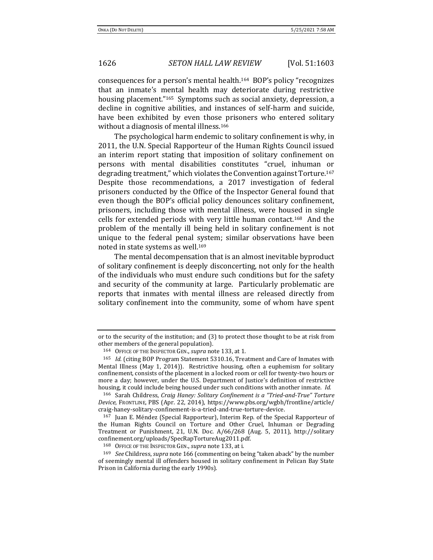consequences for a person's mental health.<sup>164</sup> BOP's policy "recognizes that an inmate's mental health may deteriorate during restrictive housing placement."165 Symptoms such as social anxiety, depression, a decline in cognitive abilities, and instances of self-harm and suicide, have been exhibited by even those prisoners who entered solitary without a diagnosis of mental illness.<sup>166</sup>

<span id="page-23-0"></span>The psychological harm endemic to solitary confinement is why, in 2011, the U.N. Special Rapporteur of the Human Rights Council issued an interim report stating that imposition of solitary confinement on persons with mental disabilities constitutes "cruel, inhuman or degrading treatment," which violates the Convention against Torture.<sup>167</sup> Despite those recommendations, a 2017 investigation of federal prisoners conducted by the Office of the Inspector General found that even though the BOP's official policy denounces solitary confinement, prisoners, including those with mental illness, were housed in single cells for extended periods with very little human contact.168 And the problem of the mentally ill being held in solitary confinement is not unique to the federal penal system; similar observations have been noted in state systems as well. 169

The mental decompensation that is an almost inevitable byproduct of solitary confinement is deeply disconcerting, not only for the health of the individuals who must endure such conditions but for the safety and security of the community at large. Particularly problematic are reports that inmates with mental illness are released directly from solitary confinement into the community, some of whom have spent

or to the security of the institution; and (3) to protect those thought to be at risk from other members of the general population).

<sup>164</sup> OFFICE OF THE INSPECTOR GEN., *supra* note [133,](#page-19-2) at 1.

<sup>165</sup> *Id.* (citing BOP Program Statement 5310.16, Treatment and Care of Inmates with Mental Illness (May 1, 2014)). Restrictive housing, often a euphemism for solitary confinement, consists of the placement in a locked room or cell for twenty-two hours or more a day; however, under the U.S. Department of Justice's definition of restrictive housing, it could include being housed under such conditions with another inmate. *Id.*

<sup>166</sup> Sarah Childress, *Craig Haney: Solitary Confinement is a "Tried-and-True" Torture Device*, FRONTLINE, PBS (Apr. 22, 2014), https://www.pbs.org/wgbh/frontline/article/ craig-haney-solitary-confinement-is-a-tried-and-true-torture-device.

<sup>167</sup> Juan E. Méndez (Special Rapporteur), Interim Rep. of the Special Rapporteur of the Human Rights Council on Torture and Other Cruel, Inhuman or Degrading Treatment or Punishment, 21, U.N. Doc. A/66/268 (Aug. 5, 2011), http://solitary confinement.org/uploads/SpecRapTortureAug2011.pdf.

<sup>168</sup> OFFICE OF THE INSPECTOR GEN., *supra* note [133,](#page-19-2) at i.

<sup>169</sup> *See* Childress, *supra* not[e 166](#page-23-0) (commenting on being "taken aback" by the number of seemingly mental ill offenders housed in solitary confinement in Pelican Bay State Prison in California during the early 1990s).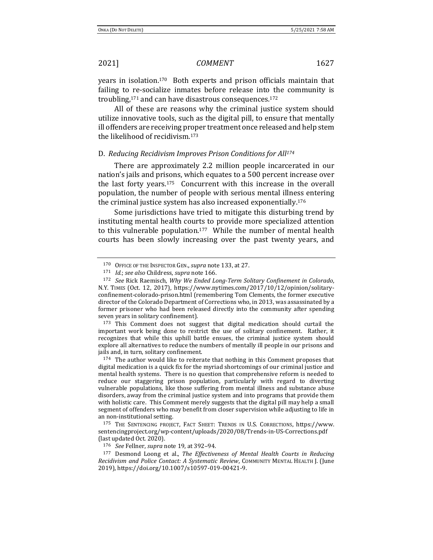years in isolation.170 Both experts and prison officials maintain that failing to re-socialize inmates before release into the community is troubling,<sup>171</sup> and can have disastrous consequences.<sup>172</sup>

All of these are reasons why the criminal justice system should utilize innovative tools, such as the digital pill, to ensure that mentally ill offenders are receiving proper treatment once released and help stem the likelihood of recidivism.<sup>173</sup>

### D. *Reducing Recidivism Improves Prison Conditions for All<sup>174</sup>*

There are approximately 2.2 million people incarcerated in our nation's jails and prisons, which equates to a 500 percent increase over the last forty years.175 Concurrent with this increase in the overall population, the number of people with serious mental illness entering the criminal justice system has also increased exponentially.<sup>176</sup>

Some jurisdictions have tried to mitigate this disturbing trend by instituting mental health courts to provide more specialized attention to this vulnerable population.177 While the number of mental health courts has been slowly increasing over the past twenty years, and

<sup>173</sup> This Comment does not suggest that digital medication should curtail the important work being done to restrict the use of solitary confinement. Rather, it recognizes that while this uphill battle ensues, the criminal justice system should explore all alternatives to reduce the numbers of mentally ill people in our prisons and jails and, in turn, solitary confinement.

<sup>174</sup> The author would like to reiterate that nothing in this Comment proposes that digital medication is a quick fix for the myriad shortcomings of our criminal justice and mental health systems. There is no question that comprehensive reform is needed to reduce our staggering prison population, particularly with regard to diverting vulnerable populations, like those suffering from mental illness and substance abuse disorders, away from the criminal justice system and into programs that provide them with holistic care. This Comment merely suggests that the digital pill may help a small segment of offenders who may benefit from closer supervision while adjusting to life in an non-institutional setting.

<sup>175</sup> THE SENTENCING PROJECT, FACT SHEET: TRENDS IN U.S. CORRECTIONS, https://www. sentencingproject.org/wp-content/uploads/2020/08/Trends-in-US-Corrections.pdf (last updated Oct. 2020).

<sup>176</sup> *See* Fellner, *supra* not[e 19,](#page-2-0) at 392–94.

<sup>177</sup> Desmond Loong et al., *The Effectiveness of Mental Health Courts in Reducing Recidivism and Police Contact: A Systematic Review*, COMMUNITY MENTAL HEALTH J. (June 2019), https://doi.org/10.1007/s10597-019-00421-9.

<sup>170</sup> OFFICE OF THE INSPECTOR GEN., *supra* note [133,](#page-19-2) at 27.

<sup>171</sup> *Id.*; *see also* Childress, *supra* not[e 166.](#page-23-0)

<sup>172</sup> *See* Rick Raemisch, *Why We Ended Long-Term Solitary Confinement in Colorado*, N.Y. TIMES (Oct. 12, 2017), https://www.nytimes.com/2017/10/12/opinion/solitaryconfinement-colorado-prison.html (remembering Tom Clements, the former executive director of the Colorado Department of Corrections who, in 2013, was assassinated by a former prisoner who had been released directly into the community after spending seven years in solitary confinement).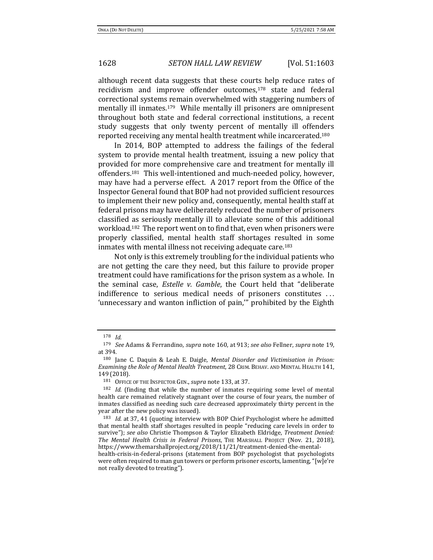although recent data suggests that these courts help reduce rates of recidivism and improve offender outcomes,<sup>178</sup> state and federal correctional systems remain overwhelmed with staggering numbers of mentally ill inmates.<sup>179</sup> While mentally ill prisoners are omnipresent throughout both state and federal correctional institutions, a recent study suggests that only twenty percent of mentally ill offenders reported receiving any mental health treatment while incarcerated.<sup>180</sup>

In 2014, BOP attempted to address the failings of the federal system to provide mental health treatment, issuing a new policy that provided for more comprehensive care and treatment for mentally ill offenders.181 This well-intentioned and much-needed policy, however, may have had a perverse effect. A 2017 report from the Office of the Inspector General found that BOP had not provided sufficient resources to implement their new policy and, consequently, mental health staff at federal prisons may have deliberately reduced the number of prisoners classified as seriously mentally ill to alleviate some of this additional workload.182 The report went on to find that, even when prisoners were properly classified, mental health staff shortages resulted in some inmates with mental illness not receiving adequate care.<sup>183</sup>

Not only is this extremely troubling for the individual patients who are not getting the care they need, but this failure to provide proper treatment could have ramifications for the prison system as a whole. In the seminal case, *Estelle v. Gamble*, the Court held that "deliberate indifference to serious medical needs of prisoners constitutes ... 'unnecessary and wanton infliction of pain,'" prohibited by the Eighth

<sup>178</sup> *Id.* 

<sup>179</sup> *See* Adams & Ferrandino, *supra* note [160,](#page-22-1) at 913; *see also* Fellner, *supra* note [19,](#page-2-0)  at 394.

<sup>180</sup> Jane C. Daquin & Leah E. Daigle, *Mental Disorder and Victimisation in Prison: Examining the Role of Mental Health Treatment*, 28 CRIM. BEHAV. AND MENTAL HEALTH 141, 149 (2018).

<sup>181</sup> OFFICE OF THE INSPECTOR GEN., *supra* note [133,](#page-19-2) at 37.

<sup>182</sup> *Id.* (finding that while the number of inmates requiring some level of mental health care remained relatively stagnant over the course of four years, the number of inmates classified as needing such care decreased approximately thirty percent in the year after the new policy was issued).

<sup>183</sup> *Id.* at 37, 41 (quoting interview with BOP Chief Psychologist where he admitted that mental health staff shortages resulted in people "reducing care levels in order to survive"); *see also* Christie Thompson & Taylor Elizabeth Eldridge, *Treatment Denied: The Mental Health Crisis in Federal Prisons*, THE MARSHALL PROJECT (Nov. 21, 2018), https://www.themarshallproject.org/2018/11/21/treatment-denied-the-mental-

health-crisis-in-federal-prisons (statement from BOP psychologist that psychologists were often required to man gun towers or perform prisoner escorts, lamenting, "[w]e're not really devoted to treating").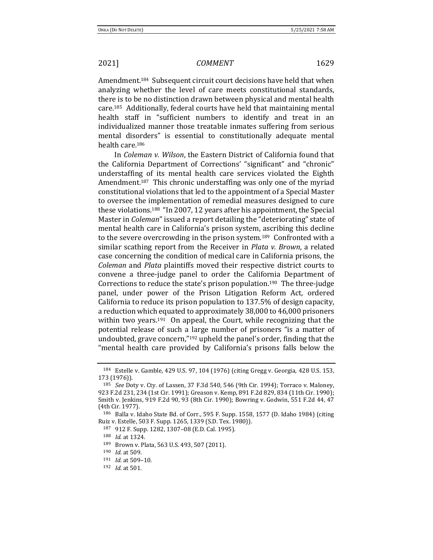Amendment.184 Subsequent circuit court decisions have held that when analyzing whether the level of care meets constitutional standards, there is to be no distinction drawn between physical and mental health care.185 Additionally, federal courts have held that maintaining mental health staff in "sufficient numbers to identify and treat in an individualized manner those treatable inmates suffering from serious mental disorders" is essential to constitutionally adequate mental health care.<sup>186</sup>

In *Coleman v. Wilson*, the Eastern District of California found that the California Department of Corrections' "significant" and "chronic" understaffing of its mental health care services violated the Eighth Amendment.187 This chronic understaffing was only one of the myriad constitutional violations that led to the appointment of a Special Master to oversee the implementation of remedial measures designed to cure these violations.<sup>188</sup> "In 2007, 12 years after his appointment, the Special Master in *Coleman*" issued a report detailing the "deteriorating" state of mental health care in California's prison system, ascribing this decline to the severe overcrowding in the prison system.189 Confronted with a similar scathing report from the Receiver in *Plata v. Brown*, a related case concerning the condition of medical care in California prisons, the *Coleman* and *Plata* plaintiffs moved their respective district courts to convene a three-judge panel to order the California Department of Corrections to reduce the state's prison population.190 The three-judge panel, under power of the Prison Litigation Reform Act, ordered California to reduce its prison population to 137.5% of design capacity, a reduction which equated to approximately 38,000 to 46,000 prisoners within two years.<sup>191</sup> On appeal, the Court, while recognizing that the potential release of such a large number of prisoners "is a matter of undoubted, grave concern,"<sup>192</sup> upheld the panel's order, finding that the "mental health care provided by California's prisons falls below the

<sup>184</sup> Estelle v. Gamble, 429 U.S. 97, 104 (1976) (citing Gregg v. Georgia, 428 U.S. 153, 173 (1976)).

<sup>185</sup> *See* Doty v. Cty. of Lassen, 37 F.3d 540, 546 (9th Cir. 1994); Torraco v. Maloney, 923 F.2d 231, 234 (1st Cir. 1991); Greason v. Kemp, 891 F.2d 829, 834 (11th Cir. 1990); Smith v. Jenkins, 919 F.2d 90, 93 (8th Cir. 1990); Bowring v. Godwin, 551 F.2d 44, 47 (4th Cir. 1977).

<sup>186</sup> Balla v. Idaho State Bd. of Corr., 595 F. Supp. 1558, 1577 (D. Idaho 1984) (citing Ruiz v. Estelle, 503 F. Supp. 1265, 1339 (S.D. Tex. 1980)).

<sup>187</sup> 912 F. Supp. 1282, 1307–08 (E.D. Cal. 1995).

<sup>188</sup> *Id*. at 1324.

<sup>189</sup> Brown v. Plata, 563 U.S. 493, 507 (2011).

<sup>190</sup> *Id.* at 509.

<sup>191</sup> *Id.* at 509–10*.*

<sup>192</sup> *Id.* at 501.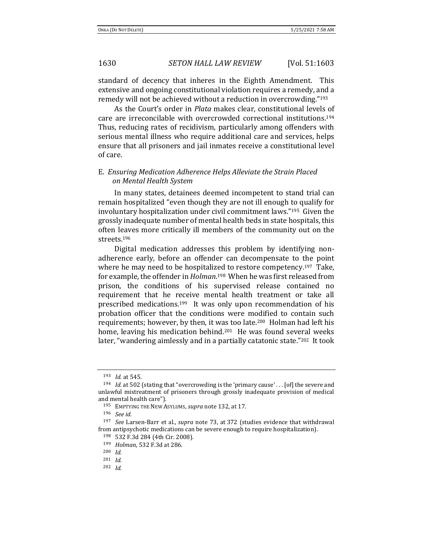standard of decency that inheres in the Eighth Amendment. This extensive and ongoing constitutional violation requires a remedy, and a remedy will not be achieved without a reduction in overcrowding."<sup>193</sup>

As the Court's order in *Plata* makes clear, constitutional levels of care are irreconcilable with overcrowded correctional institutions.<sup>194</sup> Thus, reducing rates of recidivism, particularly among offenders with serious mental illness who require additional care and services, helps ensure that all prisoners and jail inmates receive a constitutional level of care.

# E. *Ensuring Medication Adherence Helps Alleviate the Strain Placed on Mental Health System*

In many states, detainees deemed incompetent to stand trial can remain hospitalized "even though they are not ill enough to qualify for involuntary hospitalization under civil commitment laws."195 Given the grossly inadequate number of mental health beds in state hospitals, this often leaves more critically ill members of the community out on the streets.<sup>196</sup>

Digital medication addresses this problem by identifying nonadherence early, before an offender can decompensate to the point where he may need to be hospitalized to restore competency.<sup>197</sup> Take, for example, the offender in *Holman*. <sup>198</sup>When he was first released from prison, the conditions of his supervised release contained no requirement that he receive mental health treatment or take all prescribed medications.199 It was only upon recommendation of his probation officer that the conditions were modified to contain such requirements; however, by then, it was too late.200 Holman had left his home, leaving his medication behind.<sup>201</sup> He was found several weeks later, "wandering aimlessly and in a partially catatonic state."<sup>202</sup> It took

<sup>193</sup> *Id.* at 545.

<sup>194</sup> *Id.* at 502 (stating that "overcrowding is the 'primary cause' . . . [of] the severe and unlawful mistreatment of prisoners through grossly inadequate provision of medical and mental health care").

<sup>195</sup> EMPTYING THE NEW ASYLUMS, *supra* not[e 132,](#page-18-0) at 17.

<sup>196</sup> *See id.*

<sup>197</sup> *See* Larsen-Barr et al., *supra* note [73,](#page-11-1) at 372 (studies evidence that withdrawal from antipsychotic medications can be severe enough to require hospitalization).

<sup>198</sup> 532 F.3d 284 (4th Cir. 2008).

<sup>199</sup> *Holman*, 532 F.3d at 286.

<sup>200</sup> *Id.*

<sup>201</sup> *Id*.

<sup>202</sup> *Id.*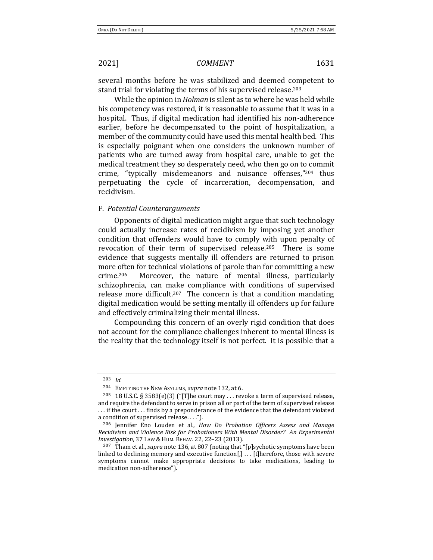several months before he was stabilized and deemed competent to stand trial for violating the terms of his supervised release.<sup>203</sup>

While the opinion in *Holman* is silent as to where he was held while his competency was restored, it is reasonable to assume that it was in a hospital. Thus, if digital medication had identified his non-adherence earlier, before he decompensated to the point of hospitalization, a member of the community could have used this mental health bed. This is especially poignant when one considers the unknown number of patients who are turned away from hospital care, unable to get the medical treatment they so desperately need, who then go on to commit crime, "typically misdemeanors and nuisance offenses,"<sup>204</sup> thus perpetuating the cycle of incarceration, decompensation, and recidivism.

### F. *Potential Counterarguments*

Opponents of digital medication might argue that such technology could actually increase rates of recidivism by imposing yet another condition that offenders would have to comply with upon penalty of revocation of their term of supervised release.205 There is some evidence that suggests mentally ill offenders are returned to prison more often for technical violations of parole than for committing a new crime.206 Moreover, the nature of mental illness, particularly schizophrenia, can make compliance with conditions of supervised release more difficult.<sup>207</sup> The concern is that a condition mandating digital medication would be setting mentally ill offenders up for failure and effectively criminalizing their mental illness.

Compounding this concern of an overly rigid condition that does not account for the compliance challenges inherent to mental illness is the reality that the technology itself is not perfect. It is possible that a

<sup>203</sup> *Id.*

<sup>204</sup> EMPTYING THE NEW ASYLUMS, *supra* not[e 132,](#page-18-0) at 6.

<sup>&</sup>lt;sup>205</sup> 18 U.S.C. § 3583(e)(3) ("[T]he court may ... revoke a term of supervised release, and require the defendant to serve in prison all or part of the term of supervised release . . . if the court . . . finds by a preponderance of the evidence that the defendant violated a condition of supervised release. . . .").

<sup>206</sup> Jennifer Eno Louden et al., *How Do Probation Officers Assess and Manage Recidivism and Violence Risk for Probationers With Mental Disorder? An Experimental Investigation*, 37 LAW & HUM. BEHAV. 22, 22–23 (2013).

<sup>207</sup> Tham et al., *supra* not[e 136,](#page-19-1) at 807 (noting that "[p]sychotic symptoms have been linked to declining memory and executive function[,] . . . [t]herefore, those with severe symptoms cannot make appropriate decisions to take medications, leading to medication non-adherence").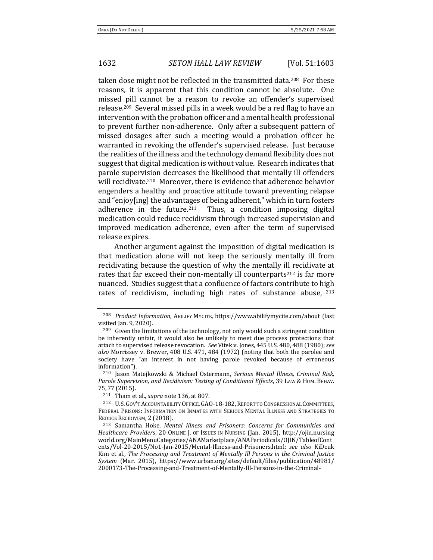taken dose might not be reflected in the transmitted data.<sup>208</sup> For these reasons, it is apparent that this condition cannot be absolute. One missed pill cannot be a reason to revoke an offender's supervised release.209 Several missed pills in a week would be a red flag to have an intervention with the probation officer and a mental health professional to prevent further non-adherence. Only after a subsequent pattern of missed dosages after such a meeting would a probation officer be warranted in revoking the offender's supervised release. Just because the realities of the illness and the technology demand flexibility does not suggest that digital medication is without value. Research indicates that parole supervision decreases the likelihood that mentally ill offenders will recidivate.210 Moreover, there is evidence that adherence behavior engenders a healthy and proactive attitude toward preventing relapse and "enjoy[ing] the advantages of being adherent," which in turn fosters adherence in the future. $211$  Thus, a condition imposing digital medication could reduce recidivism through increased supervision and improved medication adherence, even after the term of supervised release expires.

<span id="page-29-1"></span>Another argument against the imposition of digital medication is that medication alone will not keep the seriously mentally ill from recidivating because the question of why the mentally ill recidivate at rates that far exceed their non-mentally ill counterparts<sup>212</sup> is far more nuanced. Studies suggest that a confluence of factors contribute to high rates of recidivism, including high rates of substance abuse, <sup>213</sup>

<span id="page-29-0"></span><sup>208</sup> *Product Information*, ABILIFY MYCITE, https://www.abilifymycite.com/about (last visited Jan. 9, 2020).

<sup>&</sup>lt;sup>209</sup> Given the limitations of the technology, not only would such a stringent condition be inherently unfair, it would also be unlikely to meet due process protections that attach to supervised release revocation. *See* Vitek v. Jones, 445 U.S. 480, 488 (1980); *see also* Morrissey v. Brewer, 408 U.S. 471, 484 (1972) (noting that both the parolee and society have "an interest in not having parole revoked because of erroneous information").

<sup>210</sup> Jason Matejkowski & Michael Ostermann, *Serious Mental Illness, Criminal Risk, Parole Supervision, and Recidivism: Testing of Conditional Effects*, 39 LAW & HUM. BEHAV. 75, 77 (2015).

<sup>211</sup> Tham et al., *supra* not[e 136,](#page-19-1) at 807.

<sup>212</sup> U.S.GOV'T ACCOUNTABILITY OFFICE,GAO-18-182,REPORT TO CONGRESSIONAL COMMITTEES, FEDERAL PRISONS: INFORMATION ON INMATES WITH SERIOUS MENTAL ILLNESS AND STRATEGIES TO REDUCE RECIDIVISM, 2 (2018).

<sup>213</sup> Samantha Hoke, *Mental Illness and Prisoners: Concerns for Communities and Healthcare Providers*, 20 ONLINE J. OF ISSUES IN NURSING (Jan. 2015), http://ojin.nursing world.org/MainMenuCategories/ANAMarketplace/ANAPeriodicals/OJIN/TableofCont ents/Vol-20-2015/No1-Jan-2015/Mental-Illness-and-Prisoners.html; *see also* KiDeuk Kim et al., *The Processing and Treatment of Mentally Ill Persons in the Criminal Justice System* (Mar. 2015), https://www.urban.org/sites/default/files/publication/48981/ 2000173-The-Processing-and-Treatment-of-Mentally-Ill-Persons-in-the-Criminal-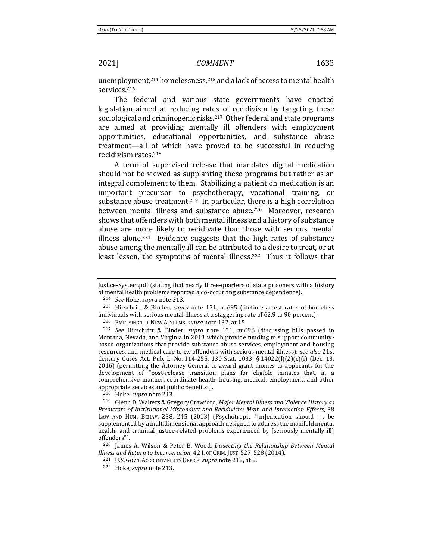<span id="page-30-0"></span>

unemployment,<sup>214</sup> homelessness,<sup>215</sup> and a lack of access to mental health services.<sup>216</sup>

The federal and various state governments have enacted legislation aimed at reducing rates of recidivism by targeting these sociological and criminogenic risks.<sup>217</sup> Other federal and state programs are aimed at providing mentally ill offenders with employment opportunities, educational opportunities, and substance abuse treatment—all of which have proved to be successful in reducing recidivism rates.<sup>218</sup>

A term of supervised release that mandates digital medication should not be viewed as supplanting these programs but rather as an integral complement to them. Stabilizing a patient on medication is an important precursor to psychotherapy, vocational training, or substance abuse treatment.<sup>219</sup> In particular, there is a high correlation between mental illness and substance abuse.<sup>220</sup> Moreover, research shows that offenders with both mental illness and a history of substance abuse are more likely to recidivate than those with serious mental illness alone.<sup>221</sup> Evidence suggests that the high rates of substance abuse among the mentally ill can be attributed to a desire to treat, or at least lessen, the symptoms of mental illness.<sup>222</sup> Thus it follows that

<sup>216</sup> EMPTYING THE NEW ASYLUMS, *supra* not[e 132,](#page-18-0) at 15.

<sup>217</sup> *See* Hirschritt & Binder, *supra* note [131,](#page-18-1) at 696 (discussing bills passed in Montana, Nevada, and Virginia in 2013 which provide funding to support communitybased organizations that provide substance abuse services, employment and housing resources, and medical care to ex-offenders with serious mental illness); *see also* 21st Century Cures Act, Pub. L. No. 114-255, 130 Stat. 1033, § 14022(l)(2)(c)(i) (Dec. 13, 2016) (permitting the Attorney General to award grant monies to applicants for the development of "post-release transition plans for eligible inmates that, in a comprehensive manner, coordinate health, housing, medical, employment, and other appropriate services and public benefits").

<sup>218</sup> Hoke, *supra* not[e 213.](#page-29-0)

<sup>220</sup> James A. Wilson & Peter B. Wood, *Dissecting the Relationship Between Mental Illness and Return to Incarceration*, 42 J. OF CRIM. JUST. 527, 528 (2014).

Justice-System.pdf (stating that nearly three-quarters of state prisoners with a history of mental health problems reported a co-occurring substance dependence).

<sup>214</sup> *See* Hoke, *supra* not[e 213.](#page-29-0)

<sup>215</sup> Hirschritt & Binder, *supra* note [131,](#page-18-1) at 695 (lifetime arrest rates of homeless individuals with serious mental illness at a staggering rate of 62.9 to 90 percent).

<sup>219</sup> Glenn D. Walters & Gregory Crawford, *Major Mental Illness and Violence History as Predictors of Institutional Misconduct and Recidivism: Main and Interaction Effects*, 38 LAW AND HUM. BEHAV. 238, 245 (2013) (Psychotropic "[m]edication should ... be supplemented by a multidimensional approach designed to address the manifold mental health- and criminal justice-related problems experienced by [seriously mentally ill] offenders").

<sup>221</sup> U.S. GOV'T ACCOUNTABILITY OFFICE, *supra* not[e 212,](#page-29-1) at 2.

<sup>222</sup> Hoke, *supra* not[e 213.](#page-29-0)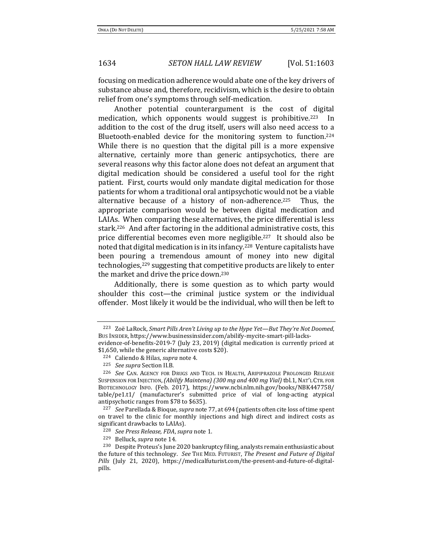focusing on medication adherence would abate one of the key drivers of substance abuse and, therefore, recidivism, which is the desire to obtain relief from one's symptoms through self-medication.

Another potential counterargument is the cost of digital medication, which opponents would suggest is prohibitive.<sup>223</sup> In addition to the cost of the drug itself, users will also need access to a Bluetooth-enabled device for the monitoring system to function.<sup>224</sup> While there is no question that the digital pill is a more expensive alternative, certainly more than generic antipsychotics, there are several reasons why this factor alone does not defeat an argument that digital medication should be considered a useful tool for the right patient. First, courts would only mandate digital medication for those patients for whom a traditional oral antipsychotic would not be a viable alternative because of a history of non-adherence.225 Thus, the appropriate comparison would be between digital medication and LAIAs. When comparing these alternatives, the price differential is less stark.226 And after factoring in the additional administrative costs, this price differential becomes even more negligible.227 It should also be noted that digital medication is in its infancy.<sup>228</sup> Venture capitalists have been pouring a tremendous amount of money into new digital technologies,<sup>229</sup> suggesting that competitive products are likely to enter the market and drive the price down.<sup>230</sup>

Additionally, there is some question as to which party would shoulder this cost—the criminal justice system or the individual offender. Most likely it would be the individual, who will then be left to

<sup>227</sup> *See* Parellada & Bioque, *supra* not[e 77,](#page-11-0) at 694 (patients often cite loss of time spent on travel to the clinic for monthly injections and high direct and indirect costs as significant drawbacks to LAIAs).

<sup>223</sup> Zoë LaRock, *Smart Pills Aren't Living up to the Hype Yet—But They're Not Doomed*, BUS INSIDER, https://www.businessinsider.com/abilify-mycite-smart-pill-lacksevidence-of-benefits-2019-7 (July 23, 2019) (digital medication is currently priced at \$1,650, while the generic alternative costs \$20).

<sup>224</sup> Caliendo & Hilas, *supra* not[e 4.](#page-0-1)

<sup>225</sup> *See supra* Section II.B.

<sup>226</sup> *See* CAN. AGENCY FOR DRUGS AND TECH. IN HEALTH, ARIPIPRAZOLE PROLONGED RELEASE SUSPENSION FOR INJECTION,*(Abilify Maintena) (300 mg and 400 mg Vial)* tbl.1, NAT'L CTR. FOR BIOTECHNOLOGY INFO. (Feb. 2017), https://www.ncbi.nlm.nih.gov/books/NBK447758/ table/pe1.t1/ (manufacturer's submitted price of vial of long-acting atypical antipsychotic ranges from \$78 to \$635).

<sup>228</sup> *See Press Release, FDA*, *supra* not[e 1.](#page-0-0)

<sup>229</sup> Belluck, *supra* note [14.](#page-1-3) 

<sup>230</sup> Despite Proteus's June 2020 bankruptcy filing, analysts remain enthusiastic about the future of this technology. *See* THE MED. FUTURIST, *The Present and Future of Digital Pills* (July 21, 2020), https://medicalfuturist.com/the-present-and-future-of-digitalpills.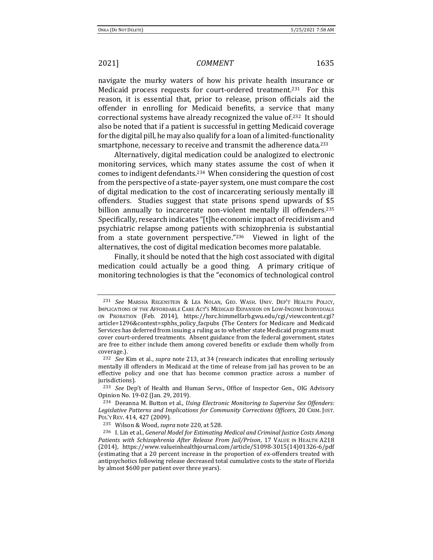navigate the murky waters of how his private health insurance or Medicaid process requests for court-ordered treatment.231 For this reason, it is essential that, prior to release, prison officials aid the offender in enrolling for Medicaid benefits, a service that many correctional systems have already recognized the value of.232 It should also be noted that if a patient is successful in getting Medicaid coverage for the digital pill, he may also qualify for a loan of a limited-functionality smartphone, necessary to receive and transmit the adherence data.<sup>233</sup>

Alternatively, digital medication could be analogized to electronic monitoring services, which many states assume the cost of when it comes to indigent defendants.234 When considering the question of cost from the perspective of a state-payer system, one must compare the cost of digital medication to the cost of incarcerating seriously mentally ill offenders. Studies suggest that state prisons spend upwards of \$5 billion annually to incarcerate non-violent mentally ill offenders.<sup>235</sup> Specifically, research indicates "[t]he economic impact of recidivism and psychiatric relapse among patients with schizophrenia is substantial from a state government perspective."236 Viewed in light of the alternatives, the cost of digital medication becomes more palatable.

Finally, it should be noted that the high cost associated with digital medication could actually be a good thing. A primary critique of monitoring technologies is that the "economics of technological control

<sup>231</sup> *See* MARSHA REGENSTEIN & LEA NOLAN, GEO. WASH. UNIV. DEP'T HEALTH POLICY, IMPLICATIONS OF THE AFFORDABLE CARE ACT'S MEDICAID EXPANSION ON LOW-INCOME INDIVIDUALS ON PROBATION (Feb. 2014), https://hsrc.himmelfarb.gwu.edu/cgi/viewcontent.cgi? article=1296&context=sphhs\_policy\_facpubs (The Centers for Medicare and Medicaid Services has deferred from issuing a ruling as to whether state Medicaid programs must cover court-ordered treatments. Absent guidance from the federal government, states are free to either include them among covered benefits or exclude them wholly from coverage.).

<sup>232</sup> *See* Kim et al., *supra* note [213,](#page-29-0) at 34 (research indicates that enrolling seriously mentally ill offenders in Medicaid at the time of release from jail has proven to be an effective policy and one that has become common practice across a number of jurisdictions).

<sup>233</sup> *See* Dep't of Health and Human Servs., Office of Inspector Gen., OIG Advisory Opinion No. 19-02 (Jan. 29, 2019).

<sup>234</sup> Deeanna M. Button et al., *Using Electronic Monitoring to Supervise Sex Offenders: Legislative Patterns and Implications for Community Corrections Officers*, 20 CRIM. JUST. POL'Y REV. 414, 427 (2009).

<sup>235</sup> Wilson & Wood, *supra* not[e 220,](#page-30-0) at 528.

<sup>236</sup> I. Lin et al., *General Model for Estimating Medical and Criminal Justice Costs Among Patients with Schizophrenia After Release From Jail/Prison*, 17 VALUE IN HEALTH A218 (2014), https://www.valueinhealthjournal.com/article/S1098-3015(14)01326-6/pdf (estimating that a 20 percent increase in the proportion of ex-offenders treated with antipsychotics following release decreased total cumulative costs to the state of Florida by almost \$600 per patient over three years).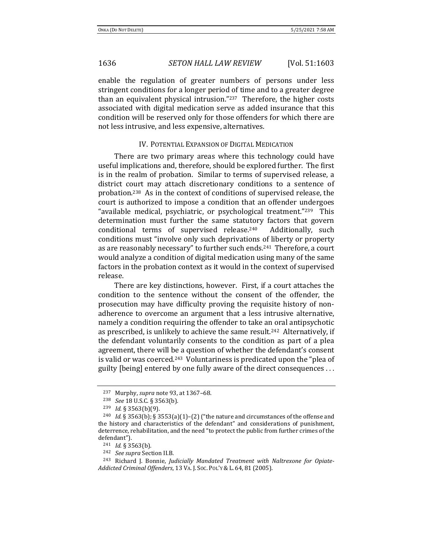enable the regulation of greater numbers of persons under less stringent conditions for a longer period of time and to a greater degree than an equivalent physical intrusion."237 Therefore, the higher costs associated with digital medication serve as added insurance that this condition will be reserved only for those offenders for which there are not less intrusive, and less expensive, alternatives.

### IV. POTENTIAL EXPANSION OF DIGITAL MEDICATION

There are two primary areas where this technology could have useful implications and, therefore, should be explored further. The first is in the realm of probation. Similar to terms of supervised release, a district court may attach discretionary conditions to a sentence of probation.238 As in the context of conditions of supervised release, the court is authorized to impose a condition that an offender undergoes "available medical, psychiatric, or psychological treatment."239 This determination must further the same statutory factors that govern conditional terms of supervised release.<sup>240</sup> Additionally, such conditions must "involve only such deprivations of liberty or property as are reasonably necessary" to further such ends.<sup>241</sup> Therefore, a court would analyze a condition of digital medication using many of the same factors in the probation context as it would in the context of supervised release.

There are key distinctions, however. First, if a court attaches the condition to the sentence without the consent of the offender, the prosecution may have difficulty proving the requisite history of nonadherence to overcome an argument that a less intrusive alternative, namely a condition requiring the offender to take an oral antipsychotic as prescribed, is unlikely to achieve the same result.242 Alternatively, if the defendant voluntarily consents to the condition as part of a plea agreement, there will be a question of whether the defendant's consent is valid or was coerced.<sup>243</sup> Voluntariness is predicated upon the "plea of guilty [being] entered by one fully aware of the direct consequences . . .

<span id="page-33-0"></span><sup>237</sup> Murphy, *supra* not[e 93,](#page-13-0) at 1367–68.

<sup>238</sup> *See* 18 U.S.C. § 3563(b).

<sup>239</sup> *Id.* § 3563(b)(9).

<sup>240</sup> *Id.* § 3563(b); § 3553(a)(1)–(2) ("the nature and circumstances of the offense and the history and characteristics of the defendant" and considerations of punishment, deterrence, rehabilitation, and the need "to protect the public from further crimes of the defendant").

<sup>241</sup> *Id.* § 3563(b).

<sup>242</sup> *See supra* Section II.B.

<sup>243</sup> Richard J. Bonnie, *Judicially Mandated Treatment with Naltrexone for Opiate-Addicted Criminal Offenders*, 13 VA. J. SOC. POL'Y & L. 64, 81 (2005).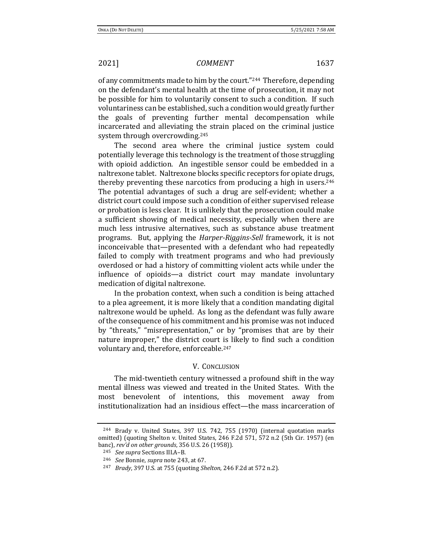of any commitments made to him by the court."244 Therefore, depending on the defendant's mental health at the time of prosecution, it may not be possible for him to voluntarily consent to such a condition. If such voluntariness can be established, such a condition would greatly further the goals of preventing further mental decompensation while incarcerated and alleviating the strain placed on the criminal justice system through overcrowding.<sup>245</sup>

The second area where the criminal justice system could potentially leverage this technology is the treatment of those struggling with opioid addiction. An ingestible sensor could be embedded in a naltrexone tablet. Naltrexone blocks specific receptors for opiate drugs, thereby preventing these narcotics from producing a high in users.<sup>246</sup> The potential advantages of such a drug are self-evident; whether a district court could impose such a condition of either supervised release or probation is less clear. It is unlikely that the prosecution could make a sufficient showing of medical necessity, especially when there are much less intrusive alternatives, such as substance abuse treatment programs. But, applying the *Harper-Riggins-Sell* framework, it is not inconceivable that—presented with a defendant who had repeatedly failed to comply with treatment programs and who had previously overdosed or had a history of committing violent acts while under the influence of opioids—a district court may mandate involuntary medication of digital naltrexone.

In the probation context, when such a condition is being attached to a plea agreement, it is more likely that a condition mandating digital naltrexone would be upheld. As long as the defendant was fully aware of the consequence of his commitment and his promise was not induced by "threats," "misrepresentation," or by "promises that are by their nature improper," the district court is likely to find such a condition voluntary and, therefore, enforceable.<sup>247</sup>

## V. CONCLUSION

The mid-twentieth century witnessed a profound shift in the way mental illness was viewed and treated in the United States. With the most benevolent of intentions, this movement away from institutionalization had an insidious effect—the mass incarceration of

<sup>244</sup> Brady v. United States, 397 U.S. 742, 755 (1970) (internal quotation marks omitted) (quoting Shelton v. United States, 246 F.2d 571, 572 n.2 (5th Cir. 1957) (en banc), *rev'd on other grounds*, 356 U.S. 26 (1958)).

<sup>245</sup> *See supra* Sections III.A–B.

<sup>246</sup> *See* Bonnie, *supra* not[e 243,](#page-33-0) at 67.

<sup>247</sup> *Brady*, 397 U.S. at 755 (quoting *Shelton*, 246 F.2d at 572 n.2).